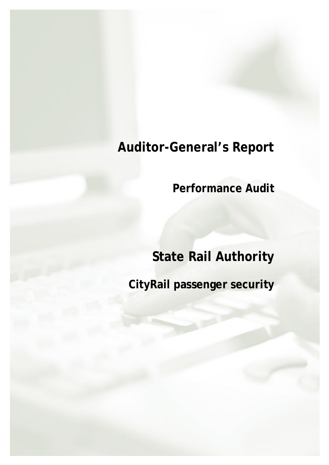# **Auditor-General's Report**

**Performance Audit**

# **State Rail Authority**

**CityRail passenger security**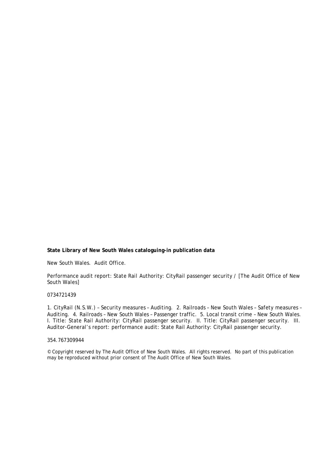#### **State Library of New South Wales cataloguing-in publication data**

New South Wales. Audit Office.

Performance audit report: State Rail Authority: CityRail passenger security / [The Audit Office of New South Wales]

#### 0734721439

1. CityRail (N.S.W.) – Security measures – Auditing. 2. Railroads – New South Wales – Safety measures – Auditing. 4. Railroads – New South Wales – Passenger traffic. 5. Local transit crime – New South Wales. I. Title: State Rail Authority: CityRail passenger security. II. Title: CityRail passenger security. III. Auditor-General's report: performance audit: State Rail Authority: CityRail passenger security.

#### 354.767309944

© Copyright reserved by The Audit Office of New South Wales. All rights reserved. No part of this publication may be reproduced without prior consent of The Audit Office of New South Wales.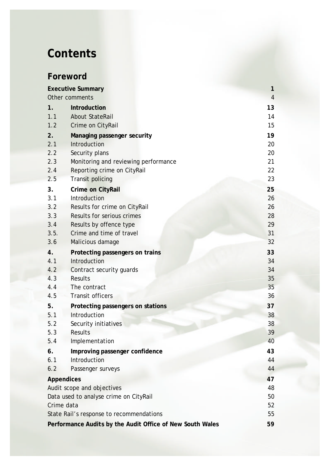# **Contents**

# **Foreword**

|                                                           | <b>Executive Summary</b>             | $\mathbf{1}$   |  |  |
|-----------------------------------------------------------|--------------------------------------|----------------|--|--|
|                                                           | Other comments                       | $\overline{4}$ |  |  |
| 1.                                                        | <b>Introduction</b>                  | 13             |  |  |
| 1.1                                                       | <b>About StateRail</b>               | 14             |  |  |
| 1.2                                                       | Crime on CityRail                    | 15             |  |  |
| 2.                                                        | <b>Managing passenger security</b>   | 19             |  |  |
| 2.1                                                       | Introduction                         | 20             |  |  |
| 2.2                                                       | Security plans                       | 20             |  |  |
| 2.3                                                       | Monitoring and reviewing performance | 21             |  |  |
| 2.4                                                       | Reporting crime on CityRail          | 22             |  |  |
| 2.5                                                       | Transit policing                     | 23             |  |  |
| 3.                                                        | <b>Crime on CityRail</b>             | 25             |  |  |
| 3.1                                                       | Introduction                         | 26             |  |  |
| 3.2                                                       | Results for crime on CityRail        | 26             |  |  |
| 3.3                                                       | Results for serious crimes           | 28             |  |  |
| 3.4                                                       | Results by offence type              | 29             |  |  |
| 3.5.                                                      | Crime and time of travel             | 31             |  |  |
| 3.6                                                       | Malicious damage                     | 32             |  |  |
| 4.                                                        | Protecting passengers on trains      | 33             |  |  |
| 4.1                                                       | Introduction                         | 34             |  |  |
| 4.2                                                       | Contract security guards             | 34             |  |  |
| 4.3                                                       | <b>Results</b>                       | 35             |  |  |
| 4.4                                                       | The contract                         | 35             |  |  |
| 4.5                                                       | Transit officers                     | 36             |  |  |
| 5.                                                        | Protecting passengers on stations    | 37             |  |  |
| 5.1                                                       | Introduction                         | 38             |  |  |
| 5.2                                                       | Security initiatives                 | 38             |  |  |
| 5.3                                                       | Results                              | 39             |  |  |
| 5.4                                                       | Implementation                       | 40             |  |  |
| 6.                                                        | Improving passenger confidence       | 43             |  |  |
| 6.1                                                       | Introduction                         | 44             |  |  |
| 6.2                                                       | Passenger surveys                    | 44             |  |  |
| <b>Appendices</b>                                         |                                      | 47             |  |  |
| Audit scope and objectives                                |                                      |                |  |  |
| Data used to analyse crime on CityRail                    |                                      |                |  |  |
| Crime data                                                |                                      |                |  |  |
| State Rail's response to recommendations                  |                                      |                |  |  |
| Performance Audits by the Audit Office of New South Wales |                                      |                |  |  |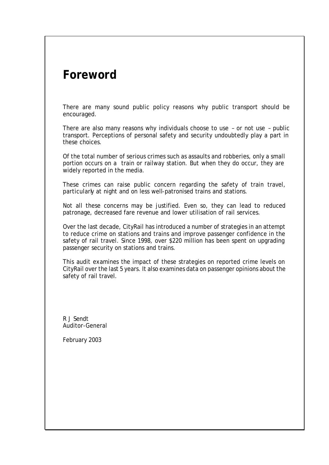# **Foreword**

There are many sound public policy reasons why public transport should be encouraged.

There are also many reasons why individuals choose to use – or not use – public transport. Perceptions of personal safety and security undoubtedly play a part in these choices.

Of the total number of serious crimes such as assaults and robberies, only a small portion occurs on a train or railway station. But when they do occur, they are widely reported in the media.

These crimes can raise public concern regarding the safety of train travel, particularly at night and on less well-patronised trains and stations.

Not all these concerns may be justified. Even so, they can lead to reduced patronage, decreased fare revenue and lower utilisation of rail services.

Over the last decade, CityRail has introduced a number of strategies in an attempt to reduce crime on stations and trains and improve passenger confidence in the safety of rail travel. Since 1998, over \$220 million has been spent on upgrading passenger security on stations and trains.

This audit examines the impact of these strategies on reported crime levels on CityRail over the last 5 years. It also examines data on passenger opinions about the safety of rail travel.

R J Sendt Auditor-General

February 2003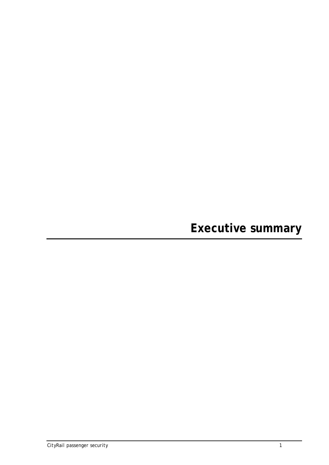**Executive summary**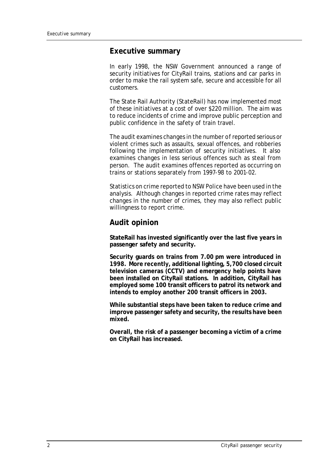#### **Executive summary**

In early 1998, the NSW Government announced a range of security initiatives for CityRail trains, stations and car parks in order to make the rail system safe, secure and accessible for all customers.

The State Rail Authority (StateRail) has now implemented most of these initiatives at a cost of over \$220 million. The aim was to reduce incidents of crime and improve public perception and public confidence in the safety of train travel.

The audit examines changes in the number of reported serious or violent crimes such as assaults, sexual offences, and robberies following the implementation of security initiatives. It also examines changes in less serious offences such as steal from person. The audit examines offences reported as occurring on trains or stations separately from 1997-98 to 2001-02.

Statistics on crime reported to NSW Police have been used in the analysis. Although changes in reported crime rates may reflect changes in the number of crimes, they may also reflect public willingness to report crime.

#### **Audit opinion**

**StateRail has invested significantly over the last five years in passenger safety and security.** 

**Security guards on trains from 7.00 pm were introduced in 1998. More recently, additional lighting, 5,700 closed circuit television cameras (CCTV) and emergency help points have been installed on CityRail stations. In addition, CityRail has employed some 100 transit officers to patrol its network and intends to employ another 200 transit officers in 2003.**

**While substantial steps have been taken to reduce crime and improve passenger safety and security, the results have been mixed.** 

**Overall, the risk of a passenger becoming a victim of a crime on CityRail has increased.**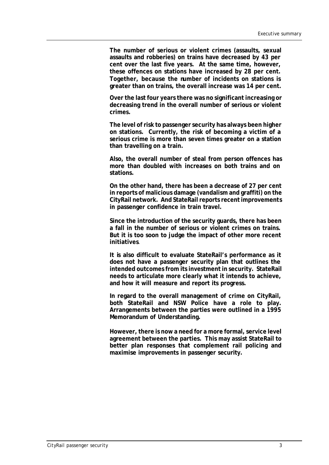**The number of serious or violent crimes (assaults, sexual assaults and robberies) on trains have decreased by 43 per cent over the last five years. At the same time, however, these offences on stations have increased by 28 per cent. Together, because the number of incidents on stations is greater than on trains, the overall increase was 14 per cent.**

**Over the last four years there was no significant increasing or decreasing trend in the overall number of serious or violent crimes.**

**The level of risk to passenger security has always been higher on stations. Currently, the risk of becoming a victim of a serious crime is more than seven times greater on a station than travelling on a train.**

**Also, the overall number of steal from person offences has more than doubled with increases on both trains and on stations.** 

**On the other hand, there has been a decrease of 27 per cent in reports of malicious damage (vandalism and graffiti) on the CityRail network. And StateRail reports recent improvements in passenger confidence in train travel.**

**Since the introduction of the security guards, there has been a fall in the number of serious or violent crimes on trains. But it is too soon to judge the impact of other more recent initiatives**.

**It is also difficult to evaluate StateRail's performance as it does not have a passenger security plan that outlines the intended outcomes from its investment in security. StateRail needs to articulate more clearly what it intends to achieve, and how it will measure and report its progress.**

**In regard to the overall management of crime on CityRail, both StateRail and NSW Police have a role to play. Arrangements between the parties were outlined in a 1995 Memorandum of Understanding.**

**However, there is now a need for a more formal, service level agreement between the parties. This may assist StateRail to better plan responses that complement rail policing and maximise improvements in passenger security.**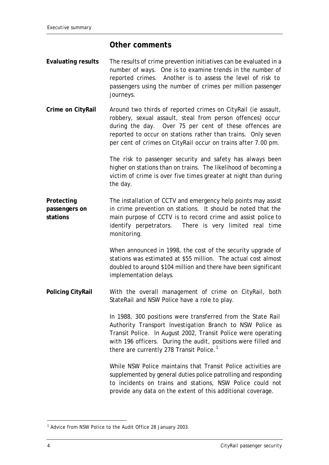#### **Other comments**

- **Evaluating results** The results of crime prevention initiatives can be evaluated in a number of ways. One is to examine trends in the number of reported crimes. Another is to assess the level of risk to passengers using the number of crimes per million passenger journeys.
- **Crime on CityRail** Around two thirds of reported crimes on CityRail (ie assault, robbery, sexual assault, steal from person offences) occur during the day. Over 75 per cent of these offences are reported to occur on stations rather than trains. Only seven per cent of crimes on CityRail occur on trains after 7.00 pm.

The risk to passenger security and safety has always been higher on stations than on trains. The likelihood of becoming a victim of crime is over five times greater at night than during the day.

**Protecting passengers on stations** The installation of CCTV and emergency help points may assist in crime prevention on stations. It should be noted that the main purpose of CCTV is to record crime and assist police to identify perpetrators. There is very limited real time monitoring.

> When announced in 1998, the cost of the security upgrade of stations was estimated at \$55 million. The actual cost almost doubled to around \$104 million and there have been significant implementation delays.

**Policing CityRail** With the overall management of crime on CityRail, both StateRail and NSW Police have a role to play.

> In 1988, 300 positions were transferred from the State Rail Authority Transport Investigation Branch to NSW Police as Transit Police. In August 2002, Transit Police were operating with 196 officers. During the audit, positions were filled and there are currently 278 Transit Police.<sup>1</sup>

> While NSW Police maintains that Transit Police activities are supplemented by general duties police patrolling and responding to incidents on trains and stations, NSW Police could not provide any data on the extent of this additional coverage.

l

<sup>&</sup>lt;sup>1</sup> Advice from NSW Police to the Audit Office 28 January 2003.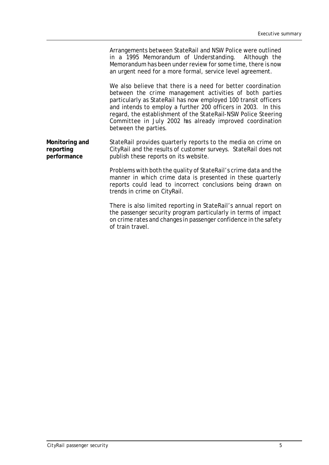|                                            | Arrangements between StateRail and NSW Police were outlined<br>in a 1995 Memorandum of Understanding. Although the<br>Memorandum has been under review for some time, there is now<br>an urgent need for a more formal, service level agreement.                                                                                                                                                                  |
|--------------------------------------------|-------------------------------------------------------------------------------------------------------------------------------------------------------------------------------------------------------------------------------------------------------------------------------------------------------------------------------------------------------------------------------------------------------------------|
|                                            | We also believe that there is a need for better coordination<br>between the crime management activities of both parties<br>particularly as StateRail has now employed 100 transit officers<br>and intends to employ a further 200 officers in 2003. In this<br>regard, the establishment of the StateRail-NSW Police Steering<br>Committee in July 2002 has already improved coordination<br>between the parties. |
| Monitoring and<br>reporting<br>performance | StateRail provides quarterly reports to the media on crime on<br>CityRail and the results of customer surveys. StateRail does not<br>publish these reports on its website.                                                                                                                                                                                                                                        |
|                                            | Problems with both the quality of StateRail's crime data and the<br>manner in which crime data is presented in these quarterly<br>reports could lead to incorrect conclusions being drawn on<br>trends in crime on CityRail.                                                                                                                                                                                      |
|                                            | There is also limited reporting in StateRail's annual report on<br>the passenger security program particularly in terms of impact<br>on crime rates and changes in passenger confidence in the safety<br>of train travel.                                                                                                                                                                                         |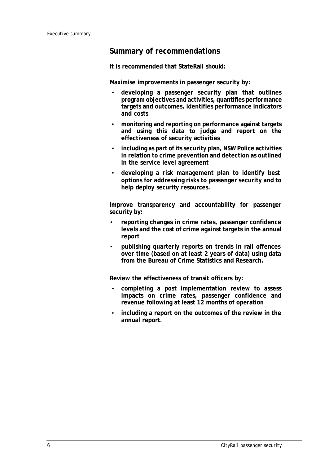### **Summary of recommendations**

**It is recommended that StateRail should:**

**Maximise improvements in passenger security by:**

- **developing a passenger security plan that outlines program objectives and activities, quantifies performance targets and outcomes, identifies performance indicators and costs**
- **monitoring and reporting on performance against targets and using this data to judge and report on the effectiveness of security activities**
- **including as part of its security plan, NSW Police activities in relation to crime prevention and detection as outlined in the service level agreement**
- **developing a risk management plan to identify best options for addressing risks to passenger security and to help deploy security resources.**

**Improve transparency and accountability for passenger security by:**

- **reporting changes in crime rates, passenger confidence levels and the cost of crime against targets in the annual report**
- **publishing quarterly reports on trends in rail offences over time (based on at least 2 years of data) using data from the Bureau of Crime Statistics and Research.**

**Review the effectiveness of transit officers by:**

- **completing a post implementation review to assess impacts on crime rates, passenger confidence and revenue following at least 12 months of operation**
- **including a report on the outcomes of the review in the annual report.**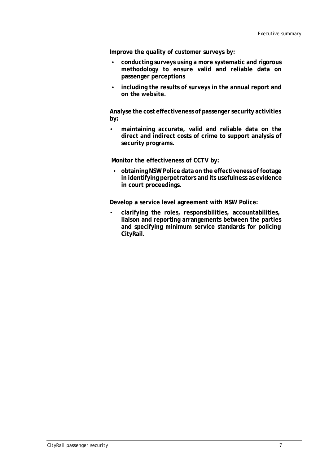**Improve the quality of customer surveys by:** 

- **conducting surveys using a more systematic and rigorous methodology to ensure valid and reliable data on passenger perceptions**
- **including the results of surveys in the annual report and on the website.**

**Analyse the cost effectiveness of passenger security activities by:**

• **maintaining accurate, valid and reliable data on the direct and indirect costs of crime to support analysis of security programs.**

**Monitor the effectiveness of CCTV by:**

• **obtaining NSW Police data on the effectiveness of footage in identifying perpetrators and its usefulness as evidence in court proceedings.** 

**Develop a service level agreement with NSW Police:**

• **clarifying the roles, responsibilities, accountabilities, liaison and reporting arrangements between the parties and specifying minimum service standards for policing CityRail.**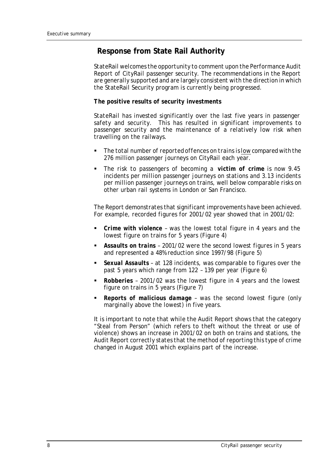# **Response from State Rail Authority**

*StateRail welcomes the opportunity to comment upon the Performance Audit Report of CityRail passenger security. The recommendations in the Report are generally supported and are largely consistent with the direction in which the StateRail Security program is currently being progressed.*

#### *The positive results of security investments*

*StateRail has invested significantly over the last five years in passenger safety and security. This has resulted in significant improvements to passenger security and the maintenance of a relatively low risk when travelling on the railways.*

- **F** The total number of reported offences on trains is low compared with the *276 million passenger journeys on CityRail each year.*
- ß *The risk to passengers of becoming a victim of crime is now 9.45 incidents per million passenger journeys on stations and 3.13 incidents per million passenger journeys on trains, well below comparable risks on other urban rail systems in London or San Francisco.*

*The Report demonstrates that significant improvements have been achieved. For example, recorded figures for 2001/02 year showed that in 2001/02:*

- **Crime with violence** was the lowest total figure in 4 years and the *lowest figure on trains for 5 years (Figure 4)*
- ß *Assaults on trains 2001/02 were the second lowest figures in 5 years and represented a 48% reduction since 1997/98 (Figure 5)*
- ß *Sexual Assaults at 128 incidents, was comparable to figures over the past 5 years which range from 122 – 139 per year (Figure 6)*
- ß *Robberies 2001/02 was the lowest figure in 4 years and the lowest figure on trains in 5 years (Figure 7)*
- ß *Reports of malicious damage was the second lowest figure (only marginally above the lowest) in five years.*

*It is important to note that while the Audit Report shows that the category "Steal from Person" (which refers to theft without the threat or use of violence) shows an increase in 2001/02 on both on trains and stations, the Audit Report correctly states that the method of reporting this type of crime changed in August 2001 which explains part of the increase.*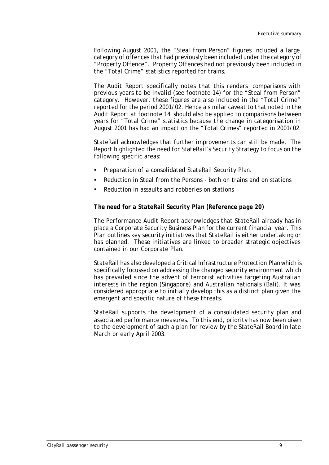*Following August 2001, the "Steal from Person" figures included a large category of offences that had previously been included under the category of "Property Offence". Property Offences had not previously been included in the "Total Crime" statistics reported for trains.*

*The Audit Report specifically notes that this renders comparisons with previous years to be invalid (see footnote 14) for the "Steal from Person" category. However, these figures are also included in the "Total Crime" reported for the period 2001/02. Hence a similar caveat to that noted in the Audit Report at footnote 14 should also be applied to comparisons between years for "Total Crime" statistics because the change in categorisation in August 2001 has had an impact on the "Total Crimes" reported in 2001/02.*

*StateRail acknowledges that further improvements can still be made. The Report highlighted the need for StateRail's Security Strategy to focus on the following specific areas:*

- ß *Preparation of a consolidated StateRail Security Plan.*
- ß *Reduction in Steal from the Persons both on trains and on stations*
- ß *Reduction in assaults and robberies on stations*

#### *The need for a StateRail Security Plan (Reference page 20)*

*The Performance Audit Report acknowledges that StateRail already has in place a Corporate Security Business Plan for the current financial year. This Plan outlines key security initiatives that StateRail is either undertaking or has planned. These initiatives are linked to broader strategic objectives contained in our Corporate Plan.*

*StateRail has also developed a Critical Infrastructure Protection Plan which is specifically focussed on addressing the changed security environment which*  has prevailed since the advent of terrorist activities targeting Australian *interests in the region (Singapore) and Australian nationals (Bali). It was considered appropriate to initially develop this as a distinct plan given the emergent and specific nature of these threats.* 

*StateRail supports the development of a consolidated security plan and associated performance measures. To this end, priority has now been given to the development of such a plan for review by the StateRail Board in late March or early April 2003.*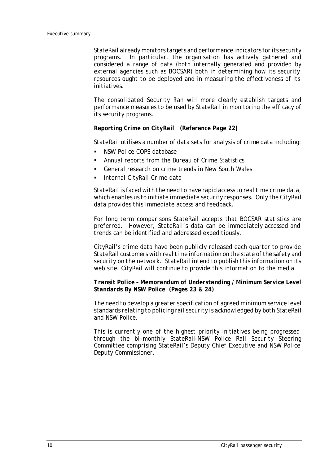*StateRail already monitors targets and performance indicators for its security programs. In particular, the organisation has actively gathered and considered a range of data (both internally generated and provided by external agencies such as BOCSAR) both in determining how its security resources ought to be deployed and in measuring the effectiveness of its initiatives.* 

*The consolidated Security Plan will more clearly establish targets and performance measures to be used by StateRail in monitoring the efficacy of its security programs.* 

#### *Reporting Crime on CityRail (Reference Page 22)*

*StateRail utilises a number of data sets for analysis of crime data including:*

- ß *NSW Police COPS database*
- ß *Annual reports from the Bureau of Crime Statistics*
- ß *General research on crime trends in New South Wales*
- ß *Internal CityRail Crime data*

*StateRail is faced with the need to have rapid access to real time crime data, which enables us to initiate immediate security responses. Only the CityRail data provides this immediate access and feedback.*

*For long term comparisons StateRail accepts that BOCSAR statistics are preferred. However, StateRail's data can be immediately accessed and trends can be identified and addressed expeditiously.*

*CityRail's crime data have been publicly released each quarter to provide StateRail customers with real time information on the state of the safety and security on the network. StateRail intend to publish this information on its web site. CityRail will continue to provide this information to the media.*

#### *Transit Police – Memorandum of Understanding / Minimum Service Level Standards By NSW Police (Pages 23 & 24)*

*The need to develop a greater specification of agreed minimum service level standards relating to policing rail security is acknowledged by both StateRail and NSW Police.* 

*This is currently one of the highest priority initiatives being progressed through the bi-monthly StateRail-NSW Police Rail Security Steering Committee comprising StateRail's Deputy Chief Executive and NSW Police Deputy Commissioner.*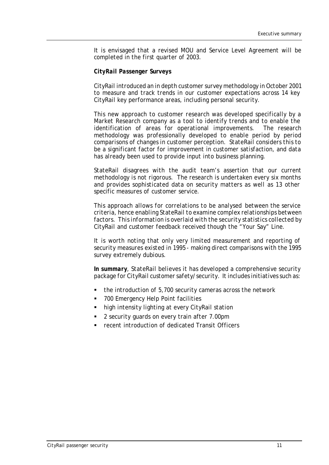*It is envisaged that a revised MOU and Service Level Agreement will be completed in the first quarter of 2003.* 

#### *CityRail Passenger Surveys*

*CityRail introduced an in depth customer survey methodology in October 2001 to measure and track trends in our customer expectations across 14 key CityRail key performance areas, including personal security.* 

*This new approach to customer research was developed specifically by a Market Research company as a tool to identify trends and to enable the identification of areas for operational improvements. The research methodology was professionally developed to enable period by period comparisons of changes in customer perception. StateRail considers this to be a significant factor for improvement in customer satisfaction, and data has already been used to provide input into business planning.* 

*StateRail disagrees with the audit team's assertion that our current methodology is not rigorous. The research is undertaken every six months and provides sophisticated data on security matters as well as 13 other specific measures of customer service.*

*This approach allows for correlations to be analysed between the service criteria, hence enabling StateRail to examine complex relationships between factors. This information is overlaid with the security statistics collected by CityRail and customer feedback received though the "Your Say" Line.*

*It is worth noting that only very limited measurement and reporting of security measures existed in 1995 - making direct comparisons with the 1995 survey extremely dubious.*

*In summary, StateRail believes it has developed a comprehensive security package for CityRail customer safety/security. It includes initiatives such as:*

- ß *the introduction of 5,700 security cameras across the network*
- ß *700 Emergency Help Point facilities*
- ß *high intensity lighting at every CityRail station*
- ß *2 security guards on every train after 7.00pm*
- ß *recent introduction of dedicated Transit Officers*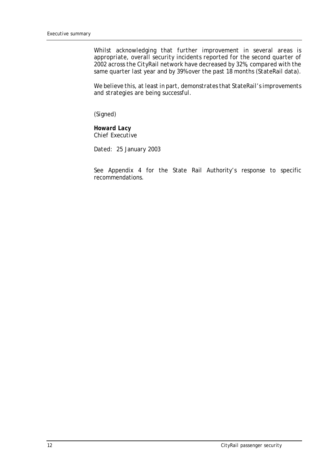*Whilst acknowledging that further improvement in several areas is appropriate, overall security incidents reported for the second quarter of 2002 across the CityRail network have decreased by 32%, compared with the same quarter last year and by 39% over the past 18 months (StateRail data).*

*We believe this, at least in part, demonstrates that StateRail's improvements and strategies are being successful.*

*(Signed)*

*Howard Lacy Chief Executive*

*Dated: 25 January 2003*

See Appendix 4 for the State Rail Authority's response to specific recommendations.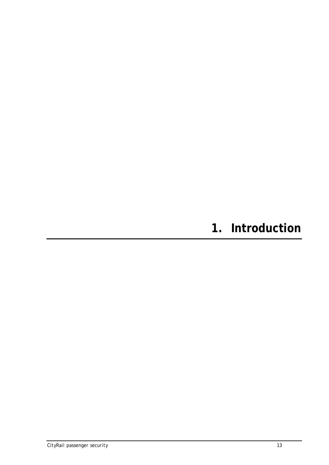# **1. Introduction**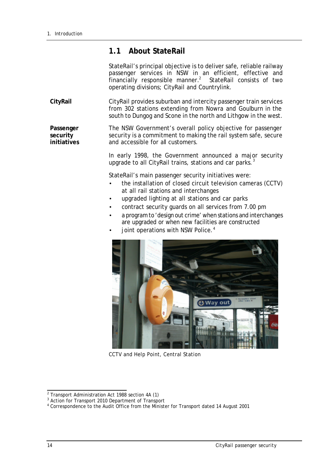### **1.1 About StateRail**

StateRail's principal objective is to deliver safe, reliable railway passenger services in NSW in an efficient, effective and financially responsible manner.<sup>2</sup> StateRail consists of two operating divisions; CityRail and Countrylink.

**CityRail** CityRail provides suburban and intercity passenger train services from 302 stations extending from Nowra and Goulburn in the south to Dungog and Scone in the north and Lithgow in the west.

**Passenger security initiatives** The NSW Government's overall policy objective for passenger security is a commitment to making the rail system safe, secure and accessible for all customers.

> In early 1998, the Government announced a major security upgrade to all CityRail trains, stations and car parks.<sup>3</sup>

StateRail's main passenger security initiatives were:

- the installation of closed circuit television cameras (CCTV) at all rail stations and interchanges
- upgraded lighting at all stations and car parks
- contract security guards on all services from 7.00 pm
- a program to 'design out crime' when stations and interchanges are upgraded or when new facilities are constructed
- joint operations with NSW Police.<sup>4</sup>



CCTV and Help Point, Central Station

 2 Transport Administration Act 1988 section 4A (1)

<sup>&</sup>lt;sup>3</sup> Action for Transport 2010 Department of Transport

<sup>&</sup>lt;sup>4</sup> Correspondence to the Audit Office from the Minister for Transport dated 14 August 2001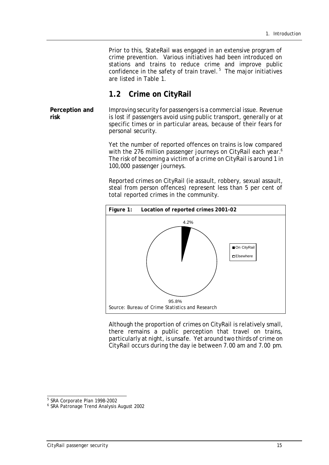Prior to this, StateRail was engaged in an extensive program of crime prevention. Various initiatives had been introduced on stations and trains to reduce crime and improve public confidence in the safety of train travel. $5$  The major initiatives are listed in Table 1.

### **1.2 Crime on CityRail**

**Perception and risk** Improving security for passengers is a commercial issue. Revenue is lost if passengers avoid using public transport, generally or at specific times or in particular areas, because of their fears for personal security.

> Yet the number of reported offences on trains is low compared with the 276 million passenger journeys on CityRail each year.<sup>6</sup> The risk of becoming a victim of a crime on CityRail is around 1 in 100,000 passenger journeys.

> Reported crimes on CityRail (ie assault, robbery, sexual assault, steal from person offences) represent less than 5 per cent of total reported crimes in the community.



Although the proportion of crimes on CityRail is relatively small, there remains a public perception that travel on trains, particularly at night, is unsafe. Yet around two thirds of crime on CityRail occurs during the day ie between 7.00 am and 7.00 pm.

<sup>&</sup>lt;sup>5</sup> SRA Corporate Plan 1998-2002

<sup>6</sup> SRA Patronage Trend Analysis August 2002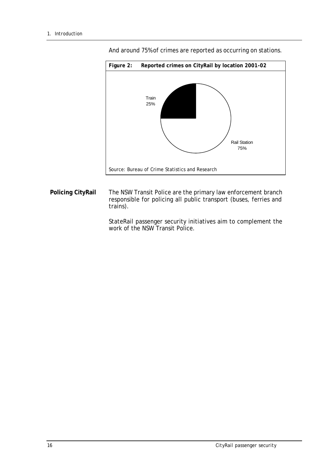

And around 75% of crimes are reported as occurring on stations.

**Policing CityRail** The NSW Transit Police are the primary law enforcement branch responsible for policing all public transport (buses, ferries and trains).

> StateRail passenger security initiatives aim to complement the work of the NSW Transit Police.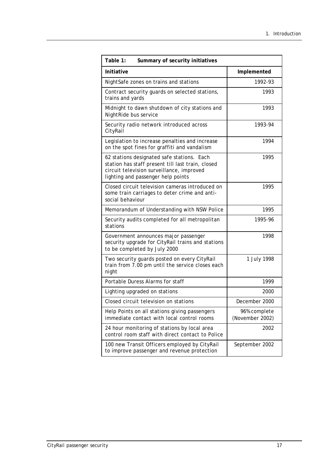| Table 1:<br>Summary of security initiatives                                                                                                                                        |                                 |  |  |  |  |
|------------------------------------------------------------------------------------------------------------------------------------------------------------------------------------|---------------------------------|--|--|--|--|
| <b>Initiative</b>                                                                                                                                                                  | Implemented                     |  |  |  |  |
| NightSafe zones on trains and stations                                                                                                                                             | 1992-93                         |  |  |  |  |
| Contract security guards on selected stations,<br>trains and yards                                                                                                                 | 1993                            |  |  |  |  |
| Midnight to dawn shutdown of city stations and<br>NightRide bus service                                                                                                            | 1993                            |  |  |  |  |
| Security radio network introduced across<br>CityRail                                                                                                                               | 1993-94                         |  |  |  |  |
| Legislation to increase penalties and increase<br>on the spot fines for graffiti and vandalism                                                                                     | 1994                            |  |  |  |  |
| 62 stations designated safe stations. Each<br>station has staff present till last train, closed<br>circuit television surveillance, improved<br>lighting and passenger help points | 1995                            |  |  |  |  |
| Closed circuit television cameras introduced on<br>some train carriages to deter crime and anti-<br>social behaviour                                                               | 1995                            |  |  |  |  |
| Memorandum of Understanding with NSW Police                                                                                                                                        | 1995                            |  |  |  |  |
| Security audits completed for all metropolitan<br>stations                                                                                                                         | 1995-96                         |  |  |  |  |
| Government announces major passenger<br>security upgrade for CityRail trains and stations<br>to be completed by July 2000                                                          | 1998                            |  |  |  |  |
| Two security guards posted on every CityRail<br>train from 7.00 pm until the service closes each<br>night                                                                          | 1 July 1998                     |  |  |  |  |
| Portable Duress Alarms for staff                                                                                                                                                   | 1999                            |  |  |  |  |
| Lighting upgraded on stations                                                                                                                                                      | 2000                            |  |  |  |  |
| Closed circuit television on stations                                                                                                                                              | December 2000                   |  |  |  |  |
| Help Points on all stations giving passengers<br>immediate contact with local control rooms                                                                                        | 96% complete<br>(November 2002) |  |  |  |  |
| 24 hour monitoring of stations by local area<br>control room staff with direct contact to Police                                                                                   | 2002                            |  |  |  |  |
| 100 new Transit Officers employed by CityRail<br>to improve passenger and revenue protection                                                                                       | September 2002                  |  |  |  |  |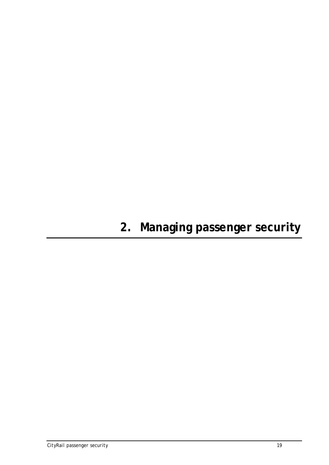# **2. Managing passenger security**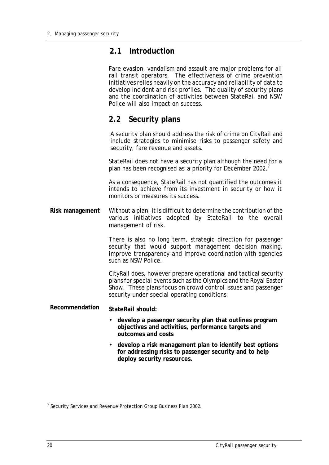### **2.1 Introduction**

Fare evasion, vandalism and assault are major problems for all rail transit operators. The effectiveness of crime prevention initiatives relies heavily on the accuracy and reliability of data to develop incident and risk profiles. The quality of security plans and the coordination of activities between StateRail and NSW Police will also impact on success.

### **2.2 Security plans**

A security plan should address the risk of crime on CityRail and include strategies to minimise risks to passenger safety and security, fare revenue and assets.

StateRail does not have a security plan although the need for a plan has been recognised as a priority for December 2002.<sup>7</sup>

As a consequence, StateRail has not quantified the outcomes it intends to achieve from its investment in security or how it monitors or measures its success.

**Risk management** Without a plan, it is difficult to determine the contribution of the various initiatives adopted by StateRail to the overall management of risk.

> There is also no long term, strategic direction for passenger security that would support management decision making, improve transparency and improve coordination with agencies such as NSW Police.

> CityRail does, however prepare operational and tactical security plans for special events such as the Olympics and the Royal Easter Show. These plans focus on crowd control issues and passenger security under special operating conditions.

#### **Recommendation StateRail should:**

- **develop a passenger security plan that outlines program objectives and activities, performance targets and outcomes and costs**
- **develop a risk management plan to identify best options for addressing risks to passenger security and to help deploy security resources.**

 7 Security Services and Revenue Protection Group Business Plan 2002.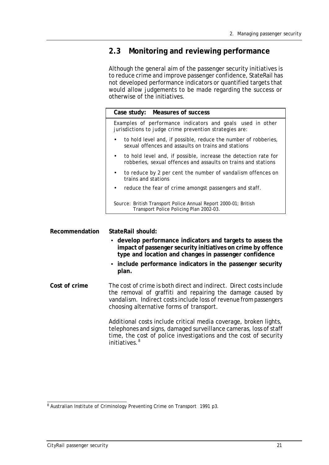### **2.3 Monitoring and reviewing performance**

Although the general aim of the passenger security initiatives is to reduce crime and improve passenger confidence, StateRail has not developed performance indicators or quantified targets that would allow judgements to be made regarding the success or otherwise of the initiatives.

| Case study: Measures of success                                                                                                                |  |  |  |  |
|------------------------------------------------------------------------------------------------------------------------------------------------|--|--|--|--|
| Examples of performance indicators and goals used in other<br>jurisdictions to judge crime prevention strategies are:                          |  |  |  |  |
| to hold level and, if possible, reduce the number of robberies,<br>sexual offences and assaults on trains and stations                         |  |  |  |  |
| to hold level and, if possible, increase the detection rate for<br>$\bullet$<br>robberies, sexual offences and assaults on trains and stations |  |  |  |  |
| to reduce by 2 per cent the number of vandalism offences on<br>trains and stations                                                             |  |  |  |  |
| reduce the fear of crime amongst passengers and staff.                                                                                         |  |  |  |  |
| Source: British Transport Police Annual Report 2000-01; British<br>Transport Police Policing Plan 2002-03.                                     |  |  |  |  |
|                                                                                                                                                |  |  |  |  |

**Recommendation StateRail should:**

- **develop performance indicators and targets to assess the impact of passenger security initiatives on crime by offence type and location and changes in passenger confidence**
- **include performance indicators in the passenger security plan.**
- **Cost of crime** The cost of crime is both direct and indirect. Direct costs include the removal of graffiti and repairing the damage caused by vandalism. Indirect costs include loss of revenue from passengers choosing alternative forms of transport.

Additional costs include critical media coverage, broken lights, telephones and signs, damaged surveillance cameras, loss of staff time, the cost of police investigations and the cost of security initiatives. $8$ 

<sup>&</sup>lt;sup>8</sup> Australian Institute of Criminology Preventing Crime on Transport 1991 p3.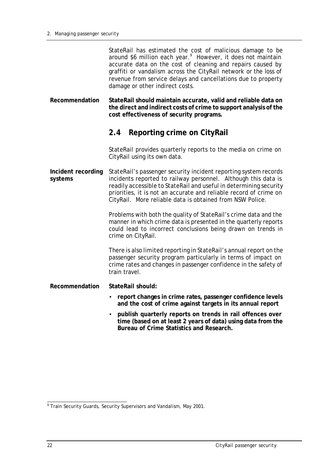StateRail has estimated the cost of malicious damage to be around \$6 million each year.<sup>9</sup> However, it does not maintain accurate data on the cost of cleaning and repairs caused by graffiti or vandalism across the CityRail network or the loss of revenue from service delays and cancellations due to property damage or other indirect costs.

**Recommendation StateRail should maintain accurate, valid and reliable data on the direct and indirect costs of crime to support analysis of the cost effectiveness of security programs.**

# **2.4 Reporting crime on CityRail**

StateRail provides quarterly reports to the media on crime on CityRail using its own data.

**Incident recording systems** StateRail's passenger security incident reporting system records incidents reported to railway personnel. Although this data is readily accessible to StateRail and useful in determining security priorities, it is not an accurate and reliable record of crime on CityRail. More reliable data is obtained from NSW Police.

> Problems with both the quality of StateRail's crime data and the manner in which crime data is presented in the quarterly reports could lead to incorrect conclusions being drawn on trends in crime on CityRail.

> There is also limited reporting in StateRail's annual report on the passenger security program particularly in terms of impact on crime rates and changes in passenger confidence in the safety of train travel.

- **Recommendation StateRail should:**
	- **report changes in crime rates, passenger confidence levels and the cost of crime against targets in its annual report**
	- **publish quarterly reports on trends in rail offences over time (based on at least 2 years of data) using data from the Bureau of Crime Statistics and Research.**

 9 Train Security Guards, Security Supervisors and Vandalism, May 2001.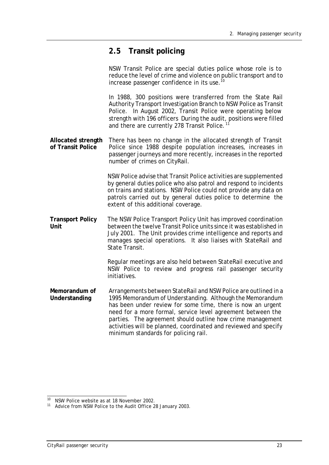# **2.5 Transit policing**

NSW Transit Police are special duties police whose role is to reduce the level of crime and violence on public transport and to increase passenger confidence in its use.<sup>10</sup>

In 1988, 300 positions were transferred from the State Rail Authority Transport Investigation Branch to NSW Police as Transit Police. In August 2002, Transit Police were operating below strength with 196 officers During the audit, positions were filled and there are currently 278 Transit Police.<sup>11</sup>

**Allocated strength of Transit Police** There has been no change in the allocated strength of Transit Police since 1988 despite population increases, increases in passenger journeys and more recently, increases in the reported number of crimes on CityRail.

> NSW Police advise that Transit Police activities are supplemented by general duties police who also patrol and respond to incidents on trains and stations. NSW Police could not provide any data on patrols carried out by general duties police to determine the extent of this additional coverage.

**Transport Policy Unit** The NSW Police Transport Policy Unit has improved coordination between the twelve Transit Police units since it was established in July 2001. The Unit provides crime intelligence and reports and manages special operations. It also liaises with StateRail and State Transit.

> Regular meetings are also held between StateRail executive and NSW Police to review and progress rail passenger security initiatives.

**Memorandum of Understanding** Arrangements between StateRail and NSW Police are outlined in a 1995 Memorandum of Understanding. Although the Memorandum has been under review for some time, there is now an urgent need for a more formal, service level agreement between the parties. The agreement should outline how crime management activities will be planned, coordinated and reviewed and specify minimum standards for policing rail.

 $\overline{1}$ <sup>10</sup> NSW Police website as at 18 November 2002.

<sup>&</sup>lt;sup>11</sup> Advice from NSW Police to the Audit Office 28 January 2003.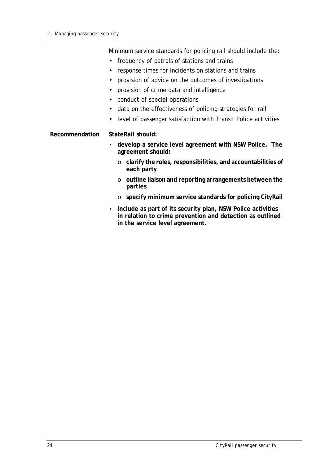Minimum service standards for policing rail should include the:

- frequency of patrols of stations and trains
- response times for incidents on stations and trains
- provision of advice on the outcomes of investigations
- provision of crime data and intelligence
- conduct of special operations
- data on the effectiveness of policing strategies for rail
- level of passenger satisfaction with Transit Police activities.

#### **Recommendation StateRail should:**

- **develop a service level agreement with NSW Police. The agreement should:**
	- o **clarify the roles, responsibilities, and accountabilities of each party**
	- o **outline liaison and reporting arrangements between the parties**
	- o **specify minimum service standards for policing CityRail**
- **include as part of its security plan, NSW Police activities in relation to crime prevention and detection as outlined in the service level agreement.**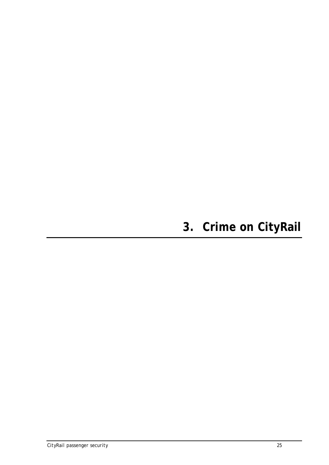# **3. Crime on CityRail**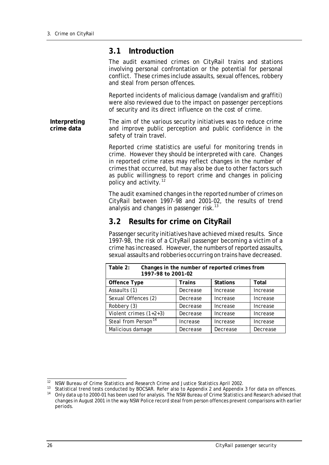#### **3.1 Introduction**

The audit examined crimes on CityRail trains and stations involving personal confrontation or the potential for personal conflict. These crimes include assaults, sexual offences, robbery and steal from person offences.

Reported incidents of malicious damage (vandalism and graffiti) were also reviewed due to the impact on passenger perceptions of security and its direct influence on the cost of crime.

**Interpreting crime data** The aim of the various security initiatives was to reduce crime and improve public perception and public confidence in the safety of train travel.

> Reported crime statistics are useful for monitoring trends in crime. However they should be interpreted with care. Changes in reported crime rates may reflect changes in the number of crimes that occurred, but may also be due to other factors such as public willingness to report crime and changes in policing policy and activity.<sup>12</sup>

> The audit examined changes in the reported number of crimes on CityRail between 1997-98 and 2001-02, the results of trend analysis and changes in passenger risk.<sup>13</sup>

### **3.2 Results for crime on CityRail**

Passenger security initiatives have achieved mixed results. Since 1997-98, the risk of a CityRail passenger becoming a victim of a crime has increased. However, the numbers of reported assaults, sexual assaults and robberies occurring on trains have decreased.

| Table 2:<br>Changes in the number of reported crimes from<br>1997-98 to 2001-02 |          |                 |              |  |  |
|---------------------------------------------------------------------------------|----------|-----------------|--------------|--|--|
| <b>Offence Type</b>                                                             | Trains   | <b>Stations</b> | <b>Total</b> |  |  |
| Assaults (1)                                                                    | Decrease | Increase        | Increase     |  |  |
| Sexual Offences (2)                                                             | Decrease | Increase        | Increase     |  |  |
| Robbery (3)                                                                     | Decrease | Increase        | Increase     |  |  |
| Violent crimes $(1+2+3)$                                                        | Decrease | Increase        | Increase     |  |  |
| Steal from Person <sup>14</sup>                                                 | Increase | Increase        | Increase     |  |  |
| Malicious damage                                                                | Decrease | Decrease        | Decrease     |  |  |

 $\overline{1}$ <sup>12</sup> NSW Bureau of Crime Statistics and Research Crime and Justice Statistics April 2002.

<sup>13</sup> Statistical trend tests conducted by BOCSAR. Refer also to Appendix 2 and Appendix 3 for data on offences.

<sup>&</sup>lt;sup>14</sup> Only data up to 2000-01 has been used for analysis. The NSW Bureau of Crime Statistics and Research advised that changes in August 2001 in the way NSW Police record steal from person offences prevent comparisons with earlier periods.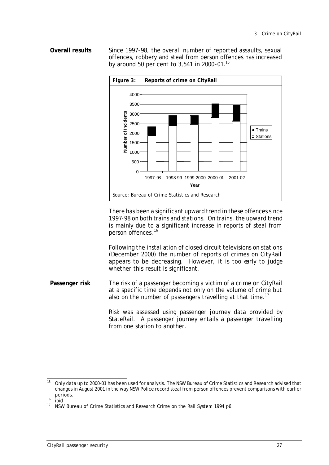#### **Overall results** Since 1997-98, the overall number of reported assaults, sexual offences, robbery and steal from person offences has increased by around 50 per cent to 3,541 in 2000-01.<sup>15</sup>



There has been a significant upward trend in these offences since 1997-98 on both trains and stations. On trains, the upward trend is mainly due to a significant increase in reports of steal from person offences.<sup>16</sup>

Following the installation of closed circuit televisions on stations (December 2000) the number of reports of crimes on CityRail appears to be decreasing. However, it is too early to judge whether this result is significant.

**Passenger risk** The risk of a passenger becoming a victim of a crime on CityRail at a specific time depends not only on the volume of crime but also on the number of passengers travelling at that time.<sup>17</sup>

> Risk was assessed using passenger journey data provided by StateRail. A passenger journey entails a passenger travelling from one station to another.

 $15$ <sup>15</sup> Only data up to 2000-01 has been used for analysis. The NSW Bureau of Crime Statistics and Research advised that changes in August 2001 in the way NSW Police record steal from person offences prevent comparisons with earlier periods.

 $\frac{16}{17}$  ibid

<sup>17</sup> NSW Bureau of Crime Statistics and Research Crime on the Rail System 1994 p6.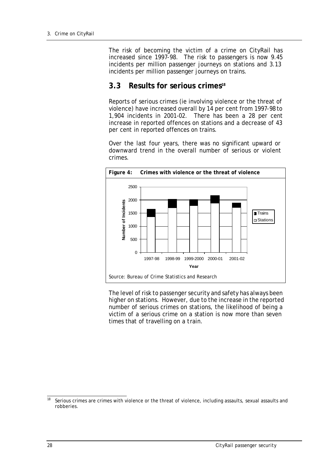The risk of becoming the victim of a crime on CityRail has increased since 1997-98. The risk to passengers is now 9.45 incidents per million passenger journeys on stations and 3.13 incidents per million passenger journeys on trains.

#### **3.3 Results for serious crimes<sup>18</sup>**

Reports of serious crimes (ie involving violence or the threat of violence) have increased overall by 14 per cent from 1997-98 to 1,904 incidents in 2001-02. There has been a 28 per cent increase in reported offences on stations and a decrease of 43 per cent in reported offences on trains.

Over the last four years, there was no significant upward or downward trend in the overall number of serious or violent crimes.



The level of risk to passenger security and safety has always been higher on stations. However, due to the increase in the reported number of serious crimes on stations, the likelihood of being a victim of a serious crime on a station is now more than seven times that of travelling on a train.

 $18$ Serious crimes are crimes with violence or the threat of violence, including assaults, sexual assaults and robberies.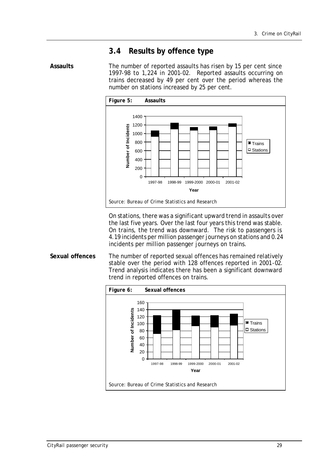# **3.4 Results by offence type**

Assaults The number of reported assaults has risen by 15 per cent since 1997-98 to 1,224 in 2001-02. Reported assaults occurring on trains decreased by 49 per cent over the period whereas the number on stations increased by 25 per cent.



On stations, there was a significant upward trend in assaults over the last five years. Over the last four years this trend was stable. On trains, the trend was downward. The risk to passengers is 4.19 incidents per million passenger journeys on stations and 0.24 incidents per million passenger journeys on trains.

**Sexual offences** The number of reported sexual offences has remained relatively stable over the period with 128 offences reported in 2001-02. Trend analysis indicates there has been a significant downward trend in reported offences on trains.

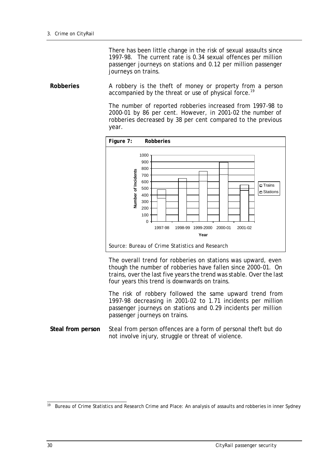There has been little change in the risk of sexual assaults since 1997-98. The current rate is 0.34 sexual offences per million passenger journeys on stations and 0.12 per million passenger journeys on trains.

**Robberies** A robbery is the theft of money or property from a person accompanied by the threat or use of physical force.<sup>19</sup>

> The number of reported robberies increased from 1997-98 to 2000-01 by 86 per cent. However, in 2001-02 the number of robberies decreased by 38 per cent compared to the previous year.



The overall trend for robberies on stations was upward, even though the number of robberies have fallen since 2000-01. On trains, over the last five years the trend was stable. Over the last four years this trend is downwards on trains.

The risk of robbery followed the same upward trend from 1997-98 decreasing in 2001-02 to 1.71 incidents per million passenger journeys on stations and 0.29 incidents per million passenger journeys on trains.

**Steal from person** Steal from person offences are a form of personal theft but do not involve injury, struggle or threat of violence.

 $\overline{1}$ <sup>19</sup> Bureau of Crime Statistics and Research Crime and Place: An analysis of assaults and robberies in inner Sydney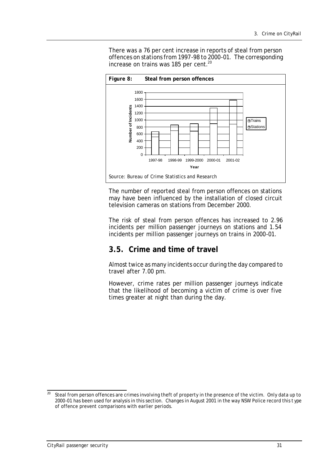There was a 76 per cent increase in reports of steal from person offences on stations from 1997-98 to 2000-01. The corresponding increase on trains was 185 per cent.<sup>20</sup>



The number of reported steal from person offences on stations may have been influenced by the installation of closed circuit television cameras on stations from December 2000.

The risk of steal from person offences has increased to 2.96 incidents per million passenger journeys on stations and 1.54 incidents per million passenger journeys on trains in 2000-01.

## **3.5. Crime and time of travel**

Almost twice as many incidents occur during the day compared to travel after 7.00 pm.

However, crime rates per million passenger journeys indicate that the likelihood of becoming a victim of crime is over five times greater at night than during the day.

<sup>20</sup> Steal from person offences are crimes involving theft of property in the presence of the victim. Only data up to 2000-01 has been used for analysis in this section. Changes in August 2001 in the way NSW Police record this t ype of offence prevent comparisons with earlier periods.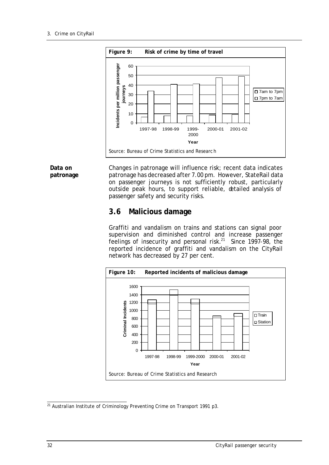

**Data on patronage** Changes in patronage will influence risk; recent data indicates patronage has decreased after 7.00 pm. However, StateRail data on passenger journeys is not sufficiently robust, particularly outside peak hours, to support reliable, detailed analysis of passenger safety and security risks.

## **3.6 Malicious damage**

Graffiti and vandalism on trains and stations can signal poor supervision and diminished control and increase passenger feelings of insecurity and personal risk.<sup>21</sup> Since 1997-98, the reported incidence of graffiti and vandalism on the CityRail network has decreased by 27 per cent.



 $\overline{a}$ <sup>21</sup> Australian Institute of Criminology Preventing Crime on Transport 1991 p3.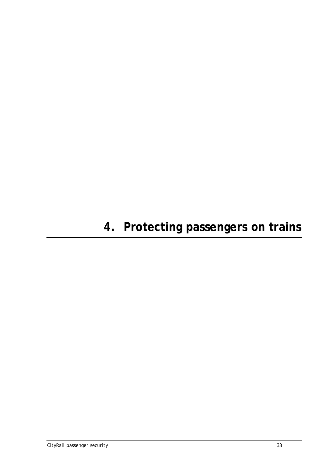## **4. Protecting passengers on trains**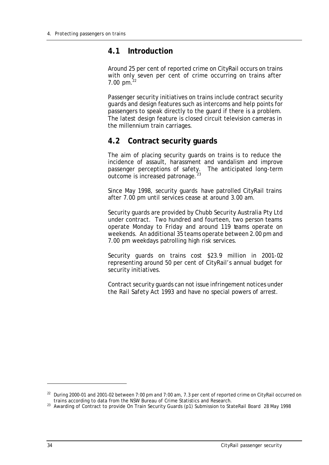## **4.1 Introduction**

Around 25 per cent of reported crime on CityRail occurs on trains with only seven per cent of crime occurring on trains after 7.00 pm. $^{22}$ 

Passenger security initiatives on trains include contract security guards and design features such as intercoms and help points for passengers to speak directly to the guard if there is a problem. The latest design feature is closed circuit television cameras in the millennium train carriages.

## **4.2 Contract security guards**

The aim of placing security guards on trains is to reduce the incidence of assault, harassment and vandalism and improve passenger perceptions of safety. The anticipated long-term outcome is increased patronage.

Since May 1998, security guards have patrolled CityRail trains after 7.00 pm until services cease at around 3.00 am.

Security guards are provided by Chubb Security Australia Pty Ltd under contract. Two hundred and fourteen, two person teams operate Monday to Friday and around 119 teams operate on weekends. An additional 35 teams operate between 2.00 pm and 7.00 pm weekdays patrolling high risk services.

Security guards on trains cost \$23.9 million in 2001-02 representing around 50 per cent of CityRail's annual budget for security initiatives.

Contract security guards can not issue infringement notices under the *Rail Safety Act 1993* and have no special powers of arrest.

l

<sup>&</sup>lt;sup>22</sup> During 2000-01 and 2001-02 between 7:00 pm and 7:00 am, 7.3 per cent of reported crime on CityRail occurred on trains according to data from the NSW Bureau of Crime Statistics and Research.

<sup>&</sup>lt;sup>23</sup> Awarding of Contract to provide On Train Security Guards (p1) Submission to StateRail Board 28 May 1998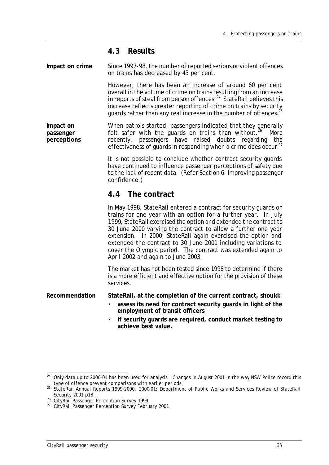## **4.3 Results**

**Impact on crime** Since 1997-98, the number of reported serious or violent offences on trains has decreased by 43 per cent.

> However, there has been an increase of around 60 per cent overall in the volume of crime on trains resulting from an increase in reports of steal from person offences.<sup>24</sup> StateRail believes this increase reflects greater reporting of crime on trains by security guards rather than any real increase in the number of offences. $^{25}$

**Impact on passenger perceptions** When patrols started, passengers indicated that they generally felt safer with the guards on trains than without.<sup>26</sup> More recently, passengers have raised doubts regarding the effectiveness of quards in responding when a crime does occur.<sup>27</sup>

> It is not possible to conclude whether contract security guards have continued to influence passenger perceptions of safety due to the lack of recent data. (Refer Section 6: Improving passenger confidence.)

## **4.4 The contract**

In May 1998, StateRail entered a contract for security guards on trains for one year with an option for a further year. In July 1999, StateRail exercised the option and extended the contract to 30 June 2000 varying the contract to allow a further one year extension. In 2000, StateRail again exercised the option and extended the contract to 30 June 2001 including variations to cover the Olympic period. The contract was extended again to April 2002 and again to June 2003.

The market has not been tested since 1998 to determine if there is a more efficient and effective option for the provision of these services.

**Recommendation StateRail, at the completion of the current contract, should:**

- **assess its need for contract security guards in light of the employment of transit officers**
- **if security guards are required, conduct market testing to achieve best value.**

 $\overline{a}$  $^{24}$  Only data up to 2000-01 has been used for analysis. Changes in August 2001 in the way NSW Police record this type of offence prevent comparisons with earlier periods.

<sup>25</sup> StateRail Annual Reports 1999-2000, 2000-01; Department of Public Works and Services Review of StateRail Security 2001 p18

<sup>&</sup>lt;sup>26</sup> CityRail Passenger Perception Survey 1999

<sup>&</sup>lt;sup>27</sup> CityRail Passenger Perception Survey February 2001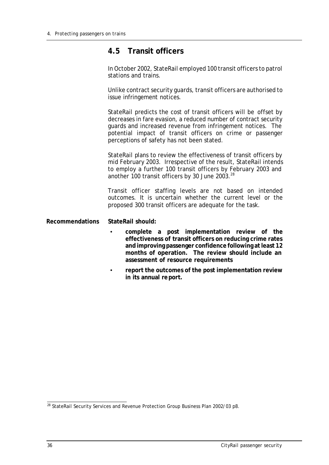## **4.5 Transit officers**

In October 2002, StateRail employed 100 transit officers to patrol stations and trains.

Unlike contract security guards, transit officers are authorised to issue infringement notices.

StateRail predicts the cost of transit officers will be offset by decreases in fare evasion, a reduced number of contract security guards and increased revenue from infringement notices. The potential impact of transit officers on crime or passenger perceptions of safety has not been stated.

StateRail plans to review the effectiveness of transit officers by mid February 2003. Irrespective of the result, StateRail intends to employ a further 100 transit officers by February 2003 and another 100 transit officers by 30 June 2003. $^{28}$ 

Transit officer staffing levels are not based on intended outcomes. It is uncertain whether the current level or the proposed 300 transit officers are adequate for the task.

## **Recommendations StateRail should:**

- **complete a post implementation review of the effectiveness of transit officers on reducing crime rates and improving passenger confidence following at least 12 months of operation. The review should include an assessment of resource requirements**
- **report the outcomes of the post implementation review in its annual report.**

 $\overline{a}$ <sup>28</sup> StateRail Security Services and Revenue Protection Group Business Plan 2002/03 p8.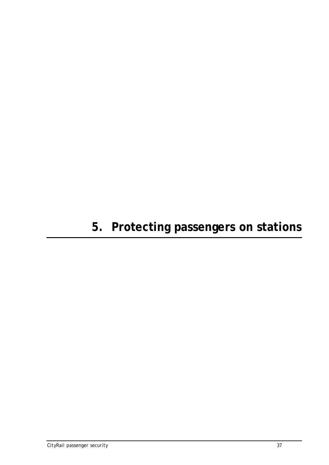# **5. Protecting passengers on stations**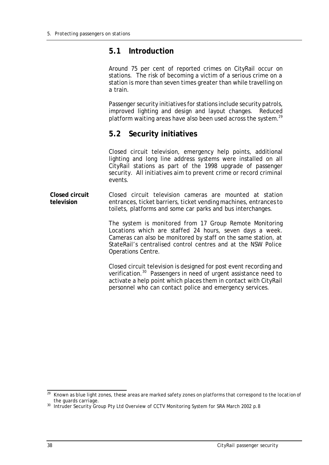## **5.1 Introduction**

Around 75 per cent of reported crimes on CityRail occur on stations. The risk of becoming a victim of a serious crime on a station is more than seven times greater than while travelling on a train.

Passenger security initiatives for stations include security patrols, improved lighting and design and layout changes. Reduced platform waiting areas have also been used across the system. $^{29}$ 

## **5.2 Security initiatives**

Closed circuit television, emergency help points, additional lighting and long line address systems were installed on all CityRail stations as part of the 1998 upgrade of passenger security. All initiatives aim to prevent crime or record criminal events.

**Closed circuit television** Closed circuit television cameras are mounted at station entrances, ticket barriers, ticket vending machines, entrances to toilets, platforms and some car parks and bus interchanges.

> The system is monitored from 17 Group Remote Monitoring Locations which are staffed 24 hours, seven days a week. Cameras can also be monitored by staff on the same station, at StateRail's centralised control centres and at the NSW Police Operations Centre.

> Closed circuit television is designed for post event recording and verification.<sup>30</sup> Passengers in need of urgent assistance need to activate a help point which places them in contact with CityRail personnel who can contact police and emergency services.

 $\overline{a}$ <sup>29</sup> Known as blue light zones, these areas are marked safety zones on platforms that correspond to the location of the guards carriage.

<sup>&</sup>lt;sup>30</sup> Intruder Security Group Pty Ltd Overview of CCTV Monitoring System for SRA March 2002 p.8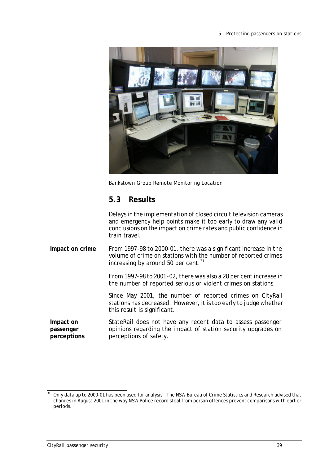

Bankstown Group Remote Monitoring Location

## **5.3 Results**

Delays in the implementation of closed circuit television cameras and emergency help points make it too early to draw any valid conclusions on the impact on crime rates and public confidence in train travel.

**Impact on crime** From 1997-98 to 2000-01, there was a significant increase in the volume of crime on stations with the number of reported crimes increasing by around 50 per cent. $31$ 

> From 1997-98 to 2001-02, there was also a 28 per cent increase in the number of reported serious or violent crimes on stations.

> Since May 2001, the number of reported crimes on CityRail stations has decreased. However, it is too early to judge whether this result is significant.

**Impact on passenger perceptions** StateRail does not have any recent data to assess passenger opinions regarding the impact of station security upgrades on perceptions of safety.

<sup>31</sup> <sup>31</sup> Only data up to 2000-01 has been used for analysis. The NSW Bureau of Crime Statistics and Research advised that changes in August 2001 in the way NSW Police record steal from person offences prevent comparisons with earlier periods.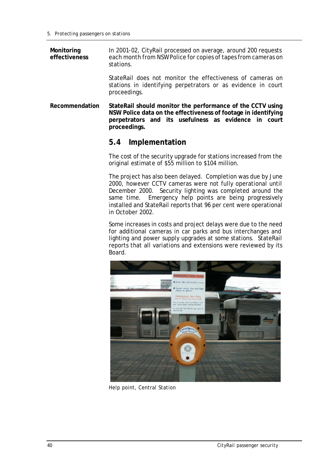**Monitoring effectiveness** In 2001-02, CityRail processed on average, around 200 requests each month from NSW Police for copies of tapes from cameras on stations.

> StateRail does not monitor the effectiveness of cameras on stations in identifying perpetrators or as evidence in court proceedings.

**Recommendation StateRail should monitor the performance of the CCTV using NSW Police data on the effectiveness of footage in identifying perpetrators and its usefulness as evidence in court proceedings.** 

## **5.4 Implementation**

The cost of the security upgrade for stations increased from the original estimate of \$55 million to \$104 million.

The project has also been delayed. Completion was due by June 2000, however CCTV cameras were not fully operational until December 2000. Security lighting was completed around the same time. Emergency help points are being progressively installed and StateRail reports that 96 per cent were operational in October 2002.

Some increases in costs and project delays were due to the need for additional cameras in car parks and bus interchanges and lighting and power supply upgrades at some stations. StateRail reports that all variations and extensions were reviewed by its Board.



Help point, Central Station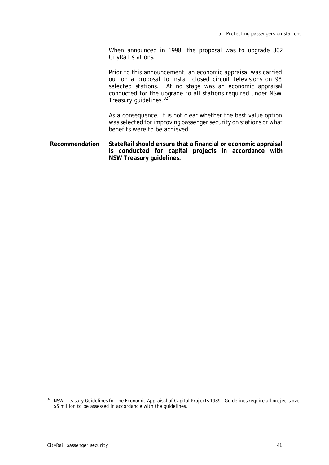When announced in 1998, the proposal was to upgrade 302 CityRail stations.

Prior to this announcement, an economic appraisal was carried out on a proposal to install closed circuit televisions on 98 selected stations. At no stage was an economic appraisal conducted for the upgrade to all stations required under NSW Treasury quidelines. $32$ 

As a consequence, it is not clear whether the best value option was selected for improving passenger security on stations or what benefits were to be achieved.

**Recommendation StateRail should ensure that a financial or economic appraisal is conducted for capital projects in accordance with NSW Treasury guidelines.**

 $\overline{a}$  $32$  NSW Treasury Guidelines for the Economic Appraisal of Capital Projects 1989. Guidelines require all projects over \$5 million to be assessed in accordance with the guidelines.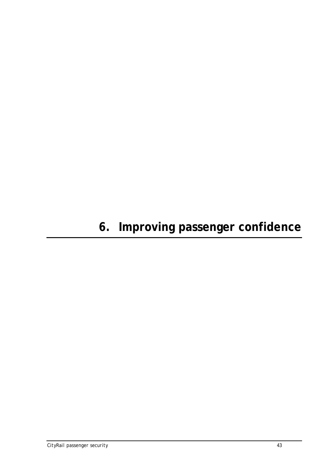# **6. Improving passenger confidence**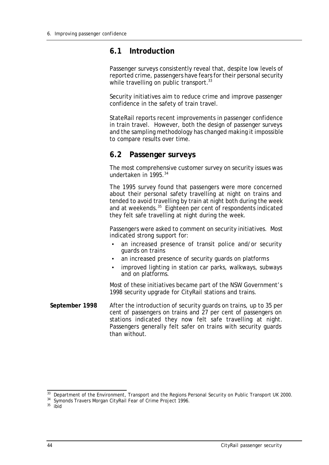## **6.1 Introduction**

Passenger surveys consistently reveal that, despite low levels of reported crime, passengers have fears for their personal security while travelling on public transport.<sup>33</sup>

Security initiatives aim to reduce crime and improve passenger confidence in the safety of train travel.

StateRail reports recent improvements in passenger confidence in train travel. However, both the design of passenger surveys and the sampling methodology has changed making it impossible to compare results over time.

## **6.2 Passenger surveys**

The most comprehensive customer survey on security issues was undertaken in 1995.<sup>34</sup>

The 1995 survey found that passengers were more concerned about their personal safety travelling at night on trains and tended to avoid travelling by train at night both during the week and at weekends.<sup>35</sup> Eighteen per cent of respondents indicated they felt safe travelling at night during the week.

Passengers were asked to comment on security initiatives. Most indicated strong support for:

- an increased presence of transit police and/or security guards on trains
- an increased presence of security guards on platforms
- improved lighting in station car parks, walkways, subways and on platforms.

Most of these initiatives became part of the NSW Government's 1998 security upgrade for CityRail stations and trains.

**September 1998** After the introduction of security guards on trains, up to 35 per cent of passengers on trains and 27 per cent of passengers on stations indicated they now felt safe travelling at night. Passengers generally felt safer on trains with security guards than without.

 $\overline{a}$ <sup>33</sup> Department of the Environment, Transport and the Regions Personal Security on Public Transport UK 2000.

<sup>&</sup>lt;sup>34</sup> Symonds Travers Morgan CityRail Fear of Crime Project 1996.

 $35$  ibid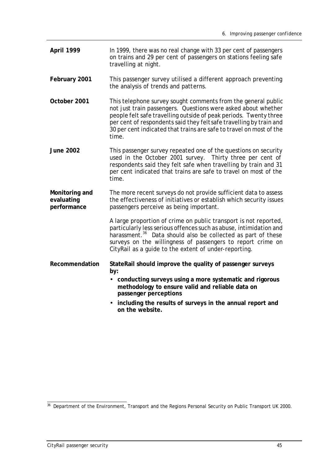- **April 1999** In 1999, there was no real change with 33 per cent of passengers on trains and 29 per cent of passengers on stations feeling safe travelling at night.
- **February 2001** This passenger survey utilised a different approach preventing the analysis of trends and patterns.
- **October 2001** This telephone survey sought comments from the general public not just train passengers. Questions were asked about whether people felt safe travelling outside of peak periods. Twenty three per cent of respondents said they felt safe travelling by train and 30 per cent indicated that trains are safe to travel on most of the time.
- **June 2002** This passenger survey repeated one of the questions on security used in the October 2001 survey. Thirty three per cent of respondents said they felt safe when travelling by train and 31 per cent indicated that trains are safe to travel on most of the time.
- **Monitoring and evaluating performance** The more recent surveys do not provide sufficient data to assess the effectiveness of initiatives or establish which security issues passengers perceive as being important.

A large proportion of crime on public transport is not reported, particularly less serious offences such as abuse, intimidation and harassment.<sup>36</sup> Data should also be collected as part of these surveys on the willingness of passengers to report crime on CityRail as a guide to the extent of under-reporting.

- **Recommendation StateRail should improve the quality of passenger surveys by:**
	- **conducting surveys using a more systematic and rigorous methodology to ensure valid and reliable data on passenger perceptions**
	- **including the results of surveys in the annual report and on the website.**

 $\overline{a}$ <sup>36</sup> Department of the Environment, Transport and the Regions Personal Security on Public Transport UK 2000.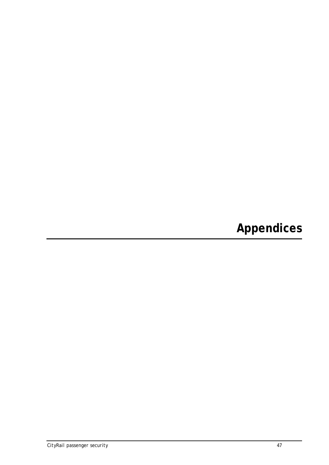**Appendices**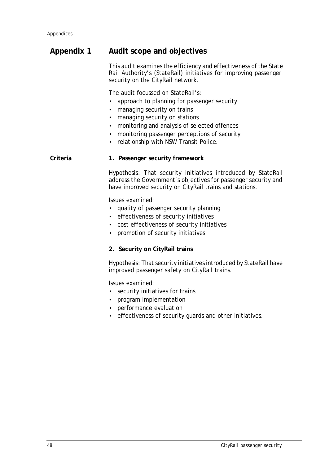## **Appendix 1 Audit scope and objectives**

This audit examines the efficiency and effectiveness of the State Rail Authority's (StateRail) initiatives for improving passenger security on the CityRail network.

The audit focussed on StateRail's:

- approach to planning for passenger security
- managing security on trains
- managing security on stations
- monitoring and analysis of selected offences
- monitoring passenger perceptions of security
- relationship with NSW Transit Police.

### **Criteria 1. Passenger security framework**

Hypothesis: That security initiatives introduced by StateRail address the Government's objectives for passenger security and have improved security on CityRail trains and stations.

Issues examined:

- quality of passenger security planning
- effectiveness of security initiatives
- cost effectiveness of security initiatives
- promotion of security initiatives.

### **2. Security on CityRail trains**

Hypothesis: That security initiatives introduced by StateRail have improved passenger safety on CityRail trains.

Issues examined:

- security initiatives for trains
- program implementation
- performance evaluation
- effectiveness of security guards and other initiatives.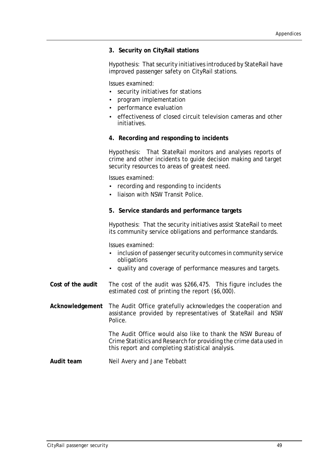## **3. Security on CityRail stations**

Hypothesis: That security initiatives introduced by StateRail have improved passenger safety on CityRail stations.

Issues examined:

- security initiatives for stations
- program implementation
- performance evaluation
- effectiveness of closed circuit television cameras and other initiatives.

## **4. Recording and responding to incidents**

Hypothesis: That StateRail monitors and analyses reports of crime and other incidents to guide decision making and target security resources to areas of greatest need.

Issues examined:

- recording and responding to incidents
- liaison with NSW Transit Police.

## **5. Service standards and performance targets**

Hypothesis: That the security initiatives assist StateRail to meet its community service obligations and performance standards.

Issues examined:

- inclusion of passenger security outcomes in community service obligations
- quality and coverage of performance measures and targets.
- **Cost of the audit** The cost of the audit was \$266,475. This figure includes the estimated cost of printing the report (\$6,000).
- **Acknowledgement** The Audit Office gratefully acknowledges the cooperation and assistance provided by representatives of StateRail and NSW Police.

The Audit Office would also like to thank the NSW Bureau of Crime Statistics and Research for providing the crime data used in this report and completing statistical analysis.

**Audit team** Neil Avery and Jane Tebbatt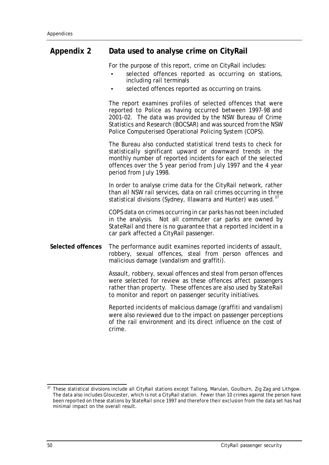## **Appendix 2 Data used to analyse crime on CityRail**

For the purpose of this report, crime on CityRail includes:

- selected offences reported as occurring on stations, including rail terminals
- selected offences reported as occurring on trains.

The report examines profiles of selected offences that were reported to Police as having occurred between 1997-98 and 2001-02. The data was provided by the NSW Bureau of Crime Statistics and Research (BOCSAR) and was sourced from the NSW Police Computerised Operational Policing System (COPS).

The Bureau also conducted statistical trend tests to check for statistically significant upward or downward trends in the monthly number of reported incidents for each of the selected offences over the 5 year period from July 1997 and the 4 year period from July 1998.

In order to analyse crime data for the CityRail network, rather than all NSW rail services, data on rail crimes occurring in three statistical divisions (Sydney, Illawarra and Hunter) was used.<sup>37</sup>

COPS data on crimes occurring in car parks has not been included in the analysis. Not all commuter car parks are owned by StateRail and there is no guarantee that a reported incident in a car park affected a CityRail passenger.

**Selected offences** The performance audit examines reported incidents of assault, robbery, sexual offences, steal from person offences and malicious damage (vandalism and graffiti).

> Assault, robbery, sexual offences and steal from person offences were selected for review as these offences affect passengers rather than property. These offences are also used by StateRail to monitor and report on passenger security initiatives.

> Reported incidents of malicious damage (graffiti and vandalism) were also reviewed due to the impact on passenger perceptions of the rail environment and its direct influence on the cost of crime.

 $37$ <sup>37</sup> These statistical divisions include all CityRail stations except Tallong, Marulan, Goulburn, Zig Zag and Lithgow. The data also includes Gloucester, which is not a CityRail station. Fewer than 10 crimes against the person have been reported on these stations by StateRail since 1997 and therefore their exclusion from the data set has had minimal impact on the overall result.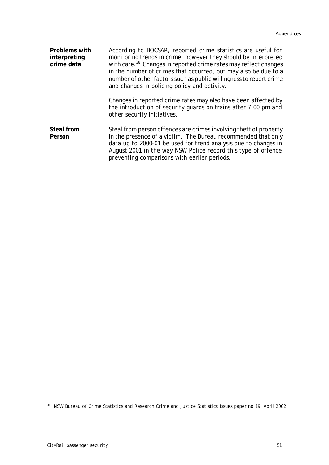| <b>Problems with</b><br>interpreting<br>crime data | According to BOCSAR, reported crime statistics are useful for<br>monitoring trends in crime, however they should be interpreted<br>with care. <sup>38</sup> Changes in reported crime rates may reflect changes<br>in the number of crimes that occurred, but may also be due to a<br>number of other factors such as public willingness to report crime<br>and changes in policing policy and activity. |
|----------------------------------------------------|----------------------------------------------------------------------------------------------------------------------------------------------------------------------------------------------------------------------------------------------------------------------------------------------------------------------------------------------------------------------------------------------------------|
|                                                    | Changes in reported crime rates may also have been affected by<br>the introduction of security guards on trains after 7.00 pm and<br>other security initiatives.                                                                                                                                                                                                                                         |
| <b>Steal from</b><br>Person                        | Steal from person offences are crimes involving theft of property<br>in the presence of a victim. The Bureau recommended that only<br>data up to 2000-01 be used for trend analysis due to changes in<br>August 2001 in the way NSW Police record this type of offence<br>preventing comparisons with earlier periods.                                                                                   |

 $\overline{a}$ <sup>38</sup> NSW Bureau of Crime Statistics and Research *Crime and Justice Statistics* Issues paper no.19, April 2002.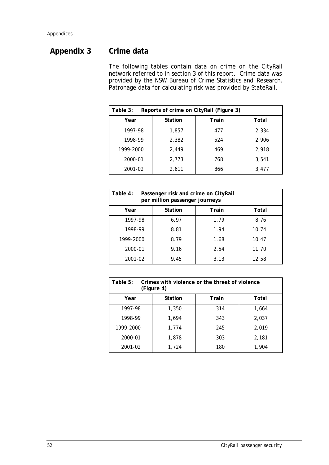## **Appendix 3 Crime data**

The following tables contain data on crime on the CityRail network referred to in section 3 of this report. Crime data was provided by the NSW Bureau of Crime Statistics and Research. Patronage data for calculating risk was provided by StateRail.

| Table 3:<br>Reports of crime on CityRail (Figure 3) |                |       |       |
|-----------------------------------------------------|----------------|-------|-------|
| Year                                                | <b>Station</b> | Train | Total |
| 1997-98                                             | 1,857          | 477   | 2,334 |
| 1998-99                                             | 2,382          | 524   | 2,906 |
| 1999-2000                                           | 2.449          | 469   | 2,918 |
| 2000-01                                             | 2,773          | 768   | 3.541 |
| 2001-02                                             | 2,611          | 866   | 3,477 |

| Table 4:<br>Passenger risk and crime on CityRail<br>per million passenger journeys |                |              |       |
|------------------------------------------------------------------------------------|----------------|--------------|-------|
| Year                                                                               | <b>Station</b> | <b>Train</b> | Total |
| 1997-98                                                                            | 6.97           | 1.79         | 8.76  |
| 1998-99                                                                            | 8.81           | 1.94         | 10.74 |
| 1999-2000                                                                          | 8.79           | 1.68         | 10.47 |
| 2000-01                                                                            | 9.16           | 2.54         | 11.70 |
| 2001-02                                                                            | 9.45           | 3.13         | 12.58 |

| Table 5:<br>Crimes with violence or the threat of violence<br>(Figure 4) |                |       |       |
|--------------------------------------------------------------------------|----------------|-------|-------|
| Year                                                                     | <b>Station</b> | Train | Total |
| 1997-98                                                                  | 1,350          | 314   | 1,664 |
| 1998-99                                                                  | 1,694          | 343   | 2,037 |
| 1999-2000                                                                | 1,774          | 245   | 2,019 |
| 2000-01                                                                  | 1,878          | 303   | 2,181 |
| 2001-02                                                                  | 1,724          | 180   | 1,904 |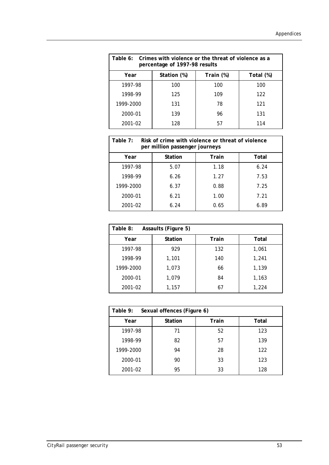| Table 6: Crimes with violence or the threat of violence as a<br>percentage of 1997-98 results |             |           |           |
|-----------------------------------------------------------------------------------------------|-------------|-----------|-----------|
| Year                                                                                          | Station (%) | Train (%) | Total (%) |
| 1997-98                                                                                       | 100         | 100       | 100       |
| 1998-99                                                                                       | 125         | 109       | 122       |
| 1999-2000                                                                                     | 131         | 78        | 121       |
| 2000-01                                                                                       | 139         | 96        | 131       |
| 2001-02                                                                                       | 128         | 57        | 114       |

| Table 7:<br>Risk of crime with violence or threat of violence<br>per million passenger journeys |                |       |       |
|-------------------------------------------------------------------------------------------------|----------------|-------|-------|
| Year                                                                                            | <b>Station</b> | Train | Total |
| 1997-98                                                                                         | 5.07           | 1.18  | 6.24  |
| 1998-99                                                                                         | 6.26           | 1.27  | 7.53  |
| 1999-2000                                                                                       | 6.37           | 0.88  | 7.25  |
| 2000-01                                                                                         | 6.21           | 1.00  | 7.21  |
| 2001-02                                                                                         | 6.24           | 0.65  | 6.89  |

| Table 8:<br><b>Assaults (Figure 5)</b> |                |       |       |
|----------------------------------------|----------------|-------|-------|
| Year                                   | <b>Station</b> | Train | Total |
| 1997-98                                | 929            | 132   | 1,061 |
| 1998-99                                | 1,101          | 140   | 1,241 |
| 1999-2000                              | 1,073          | 66    | 1,139 |
| 2000-01                                | 1,079          | 84    | 1,163 |
| 2001-02                                | 1,157          | 67    | 1,224 |

| Table 9:<br>Sexual offences (Figure 6) |                |              |       |
|----------------------------------------|----------------|--------------|-------|
| Year                                   | <b>Station</b> | <b>Train</b> | Total |
| 1997-98                                | 71             | 52           | 123   |
| 1998-99                                | 82             | 57           | 139   |
| 1999-2000                              | 94             | 28           | 122   |
| 2000-01                                | 90             | 33           | 123   |
| 2001-02                                | 95             | 33           | 128   |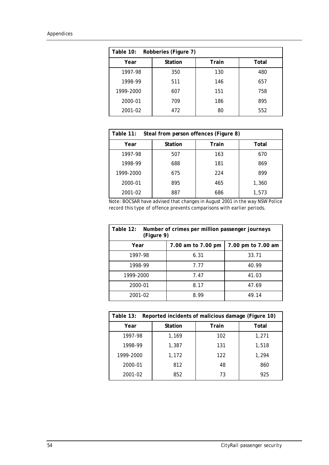| Robberies (Figure 7)<br>Table 10: |                |       |       |
|-----------------------------------|----------------|-------|-------|
| Year                              | <b>Station</b> | Train | Total |
| 1997-98                           | 350            | 130   | 480   |
| 1998-99                           | 511            | 146   | 657   |
| 1999-2000                         | 607            | 151   | 758   |
| 2000-01                           | 709            | 186   | 895   |
| 2001-02                           | 472            | 80    | 552   |

| Table 11:<br>Steal from person offences (Figure 8) |                |              |       |
|----------------------------------------------------|----------------|--------------|-------|
| Year                                               | <b>Station</b> | <b>Train</b> | Total |
| 1997-98                                            | 507            | 163          | 670   |
| 1998-99                                            | 688            | 181          | 869   |
| 1999-2000                                          | 675            | 224          | 899   |
| 2000-01                                            | 895            | 465          | 1,360 |
| 2001-02                                            | 887            | 686          | 1,573 |

Note: BOCSAR have advised that changes in August 2001 in the way NSW Police record this type of offence prevents comparisons with earlier periods.

| Table 12:<br>Number of crimes per million passenger journeys<br>(Figure 9) |                    |                    |  |
|----------------------------------------------------------------------------|--------------------|--------------------|--|
| Year                                                                       | 7.00 am to 7.00 pm | 7.00 pm to 7.00 am |  |
| 1997-98                                                                    | 6.31               | 33.71              |  |
| 1998-99                                                                    | 7.77               | 40.99              |  |
| 1999-2000                                                                  | 7.47               | 41.03              |  |
| 2000-01                                                                    | 8.17               | 47.69              |  |
| 2001-02                                                                    | 8.99               | 49.14              |  |

| Reported incidents of malicious damage (Figure 10)<br>Table 13: |                |       |       |
|-----------------------------------------------------------------|----------------|-------|-------|
| Year                                                            | <b>Station</b> | Train | Total |
| 1997-98                                                         | 1,169          | 102   | 1,271 |
| 1998-99                                                         | 1,387          | 131   | 1,518 |
| 1999-2000                                                       | 1,172          | 122   | 1,294 |
| 2000-01                                                         | 812            | 48    | 860   |
| 2001-02                                                         | 852            | 73    | 925   |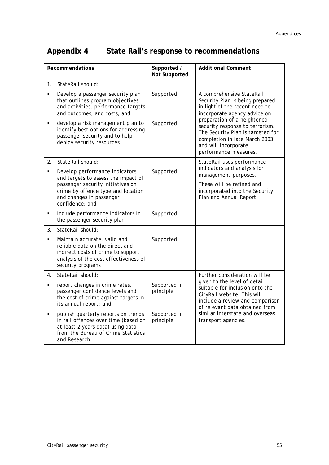## **Appendix 4 State Rail's response to recommendations**

| <b>Recommendations</b> |                                                                                                                                                                         | Supported /<br><b>Not Supported</b> | <b>Additional Comment</b>                                                                                                                                                             |
|------------------------|-------------------------------------------------------------------------------------------------------------------------------------------------------------------------|-------------------------------------|---------------------------------------------------------------------------------------------------------------------------------------------------------------------------------------|
| 1 <sub>1</sub>         | StateRail should:                                                                                                                                                       |                                     |                                                                                                                                                                                       |
| $\blacksquare$         | Develop a passenger security plan<br>that outlines program objectives<br>and activities, performance targets<br>and outcomes, and costs; and                            | Supported                           | A comprehensive StateRail<br>Security Plan is being prepared<br>in light of the recent need to<br>incorporate agency advice on                                                        |
| ٠                      | develop a risk management plan to<br>identify best options for addressing<br>passenger security and to help<br>deploy security resources                                | Supported                           | preparation of a heightened<br>security response to terrorism.<br>The Security Plan is targeted for<br>completion in late March 2003<br>and will incorporate<br>performance measures. |
| 2.                     | StateRail should:                                                                                                                                                       |                                     | StateRail uses performance<br>indicators and analysis for                                                                                                                             |
| $\blacksquare$         | Develop performance indicators<br>and targets to assess the impact of                                                                                                   | Supported                           | management purposes.                                                                                                                                                                  |
|                        | passenger security initiatives on<br>crime by offence type and location<br>and changes in passenger<br>confidence; and                                                  |                                     | These will be refined and<br>incorporated into the Security<br>Plan and Annual Report.                                                                                                |
| ٠                      | include performance indicators in<br>the passenger security plan                                                                                                        | Supported                           |                                                                                                                                                                                       |
| 3.                     | StateRail should:                                                                                                                                                       |                                     |                                                                                                                                                                                       |
| ٠                      | Maintain accurate, valid and<br>reliable data on the direct and<br>indirect costs of crime to support<br>analysis of the cost effectiveness of<br>security programs     | Supported                           |                                                                                                                                                                                       |
| 4.                     | StateRail should:                                                                                                                                                       |                                     | Further consideration will be                                                                                                                                                         |
| $\blacksquare$         | report changes in crime rates,<br>passenger confidence levels and<br>the cost of crime against targets in<br>its annual report; and                                     | Supported in<br>principle           | given to the level of detail<br>suitable for inclusion onto the<br>CityRail website. This will<br>include a review and comparison<br>of relevant data obtained from                   |
| ٠                      | publish quarterly reports on trends<br>in rail offences over time (based on<br>at least 2 years data) using data<br>from the Bureau of Crime Statistics<br>and Research | Supported in<br>principle           | similar interstate and overseas<br>transport agencies.                                                                                                                                |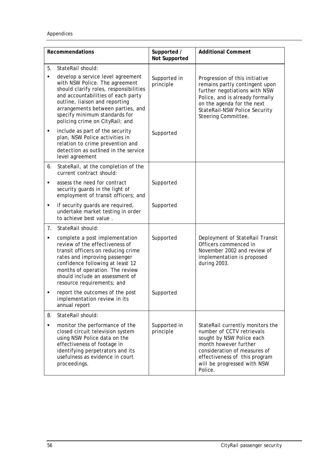| <b>Recommendations</b> |                                                                                                                                                                                                                                                                                 | Supported /<br><b>Not Supported</b> | <b>Additional Comment</b>                                                                                                                                                                                                      |
|------------------------|---------------------------------------------------------------------------------------------------------------------------------------------------------------------------------------------------------------------------------------------------------------------------------|-------------------------------------|--------------------------------------------------------------------------------------------------------------------------------------------------------------------------------------------------------------------------------|
| 5.<br>٠                | StateRail should:<br>develop a service level agreement                                                                                                                                                                                                                          |                                     |                                                                                                                                                                                                                                |
|                        | with NSW Police. The agreement<br>should clarify roles, responsibilities<br>and accountabilities of each party<br>outline, liaison and reporting<br>arrangements between parties, and<br>specify minimum standards for<br>policing crime on CityRail; and                       | Supported in<br>principle           | Progression of this initiative<br>remains partly contingent upon<br>further negotiations with NSW<br>Police, and is already formally<br>on the agenda for the next<br>StateRail-NSW Police Security<br>Steering Committee.     |
| ٠                      | include as part of the security<br>plan, NSW Police activities in<br>relation to crime prevention and<br>detection as outlined in the service<br>level agreement                                                                                                                | Supported                           |                                                                                                                                                                                                                                |
| 6.                     | StateRail, at the completion of the<br>current contract should:                                                                                                                                                                                                                 |                                     |                                                                                                                                                                                                                                |
| ٠                      | assess the need for contract<br>security guards in the light of<br>employment of transit officers; and                                                                                                                                                                          | Supported                           |                                                                                                                                                                                                                                |
| ٠                      | if security guards are required,<br>undertake market testing in order<br>to achieve best value.                                                                                                                                                                                 | Supported                           |                                                                                                                                                                                                                                |
| 7 <sub>1</sub>         | StateRail should:                                                                                                                                                                                                                                                               |                                     |                                                                                                                                                                                                                                |
| ٠                      | complete a post implementation<br>review of the effectiveness of<br>transit officers on reducing crime<br>rates and improving passenger<br>confidence following at least 12<br>months of operation. The review<br>should include an assessment of<br>resource requirements; and | Supported                           | Deployment of StateRail Transit<br>Officers commenced in<br>November 2002 and review of<br>implementation is proposed<br>during 2003.                                                                                          |
| ٠                      | report the outcomes of the post<br>implementation review in its<br>annual report                                                                                                                                                                                                | Supported                           |                                                                                                                                                                                                                                |
| 8.                     | StateRail should:                                                                                                                                                                                                                                                               |                                     |                                                                                                                                                                                                                                |
| ٠                      | monitor the performance of the<br>closed circuit television system<br>using NSW Police data on the<br>effectiveness of footage in<br>identifying perpetrators and its<br>usefulness as evidence in court<br>proceedings.                                                        | Supported in<br>principle           | StateRail currently monitors the<br>number of CCTV retrievals<br>sought by NSW Police each<br>month however further<br>consideration of measures of<br>effectiveness of this program<br>will be progressed with NSW<br>Police. |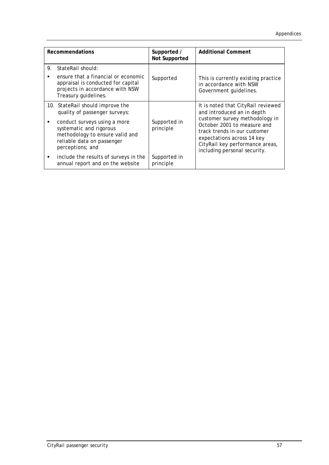| <b>Recommendations</b> |                                                                                                                                                                                               | Supported /<br><b>Not Supported</b> | <b>Additional Comment</b>                                                                                                                                                                       |
|------------------------|-----------------------------------------------------------------------------------------------------------------------------------------------------------------------------------------------|-------------------------------------|-------------------------------------------------------------------------------------------------------------------------------------------------------------------------------------------------|
| 9.                     | StateRail should:<br>ensure that a financial or economic<br>appraisal is conducted for capital<br>projects in accordance with NSW<br>Treasury guidelines.                                     | Supported                           | This is currently existing practice<br>in accordance with NSW<br>Government guidelines.                                                                                                         |
| ٠                      | 10. StateRail should improve the<br>quality of passenger surveys:<br>conduct surveys using a more<br>systematic and rigorous<br>methodology to ensure valid and<br>reliable data on passenger | Supported in<br>principle           | It is noted that CityRail reviewed<br>and introduced an in depth<br>customer survey methodology in<br>October 2001 to measure and<br>track trends in our customer<br>expectations across 14 key |
|                        | perceptions; and<br>include the results of surveys in the<br>annual report and on the website                                                                                                 | Supported in<br>principle           | CityRail key performance areas,<br>including personal security.                                                                                                                                 |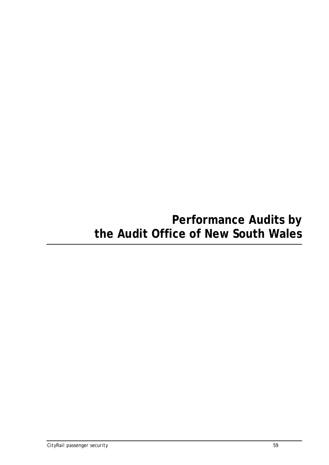## **Performance Audits by the Audit Office of New South Wales**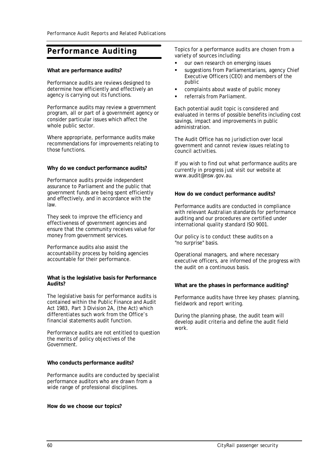## **Performance Auditing**

#### **What are performance audits?**

Performance audits are reviews designed to determine how efficiently and effectively an agency is carrying out its functions.

Performance audits may review a government program, all or part of a government agency or consider particular issues which affect the whole public sector.

Where appropriate, performance audits make recommendations for improvements relating to those functions.

#### **Why do we conduct performance audits?**

Performance audits provide independent assurance to Parliament and the public that government funds are being spent efficiently and effectively, and in accordance with the law.

They seek to improve the efficiency and effectiveness of government agencies and ensure that the community receives value for money from government services.

Performance audits also assist the accountability process by holding agencies accountable for their performance.

#### **What is the legislative basis for Performance Audits?**

The legislative basis for performance audits is contained within the *Public Finance and Audit Act 1983*, *Part 3 Division 2A*, (the Act) which differentiates such work from the Office's financial statements audit function.

Performance audits are not entitled to question the merits of policy objectives of the Government.

#### **Who conducts performance audits?**

Performance audits are conducted by specialist performance auditors who are drawn from a wide range of professional disciplines.

#### **How do we choose our topics?**

Topics for a performance audits are chosen from a variety of sources including:

- our own research on emerging issues
- suggestions from Parliamentarians, agency Chief Executive Officers (CEO) and members of the public
- ß complaints about waste of public money
- ß referrals from Parliament.

Each potential audit topic is considered and evaluated in terms of possible benefits including cost savings, impact and improvements in public administration.

The Audit Office has no jurisdiction over local government and cannot review issues relating to council activities.

If you wish to find out what performance audits are currently in progress just visit our website at www.audit@nsw.gov.au.

#### **How do we conduct performance audits?**

Performance audits are conducted in compliance with relevant Australian standards for performance auditing and our procedures are certified under international quality standard ISO 9001.

Our policy is to conduct these audits on a "no surprise" basis.

Operational managers, and where necessary executive officers, are informed of the progress with the audit on a continuous basis.

#### **What are the phases in performance auditing?**

Performance audits have three key phases: planning, fieldwork and report writing.

During the planning phase, the audit team will develop audit criteria and define the audit field work.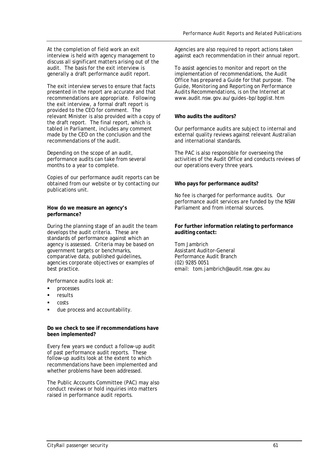At the completion of field work an exit interview is held with agency management to discuss all significant matters arising out of the audit. The basis for the exit interview is generally a draft performance audit report.

The exit interview serves to ensure that facts presented in the report are accurate and that recommendations are appropriate. Following the exit interview, a formal draft report is provided to the CEO for comment. The relevant Minister is also provided with a copy of the draft report. The final report, which is tabled in Parliament, includes any comment made by the CEO on the conclusion and the recommendations of the audit.

Depending on the scope of an audit, performance audits can take from several months to a year to complete.

Copies of our performance audit reports can be obtained from our website or by contacting our publications unit.

#### **How do we measure an agency's performance?**

During the planning stage of an audit the team develops the audit criteria. These are standards of performance against which an agency is assessed. Criteria may be based on government targets or benchmarks, comparative data, published guidelines, agencies corporate objectives or examples of best practice.

Performance audits look at:

- ß processes
- results
- costs
- due process and accountability.

#### **Do we check to see if recommendations have been implemented?**

Every few years we conduct a follow-up audit of past performance audit reports. These follow-up audits look at the extent to which recommendations have been implemented and whether problems have been addressed.

The Public Accounts Committee (PAC) may also conduct reviews or hold inquiries into matters raised in performance audit reports.

Agencies are also required to report actions taken against each recommendation in their annual report.

To assist agencies to monitor and report on the implementation of recommendations, the Audit Office has prepared a Guide for that purpose. The Guide, *Monitoring and Reporting on Performance Audits Recommendations,* is on the Internet at www.audit.nsw.gov.au/guides -bp/bpglist.htm

## **Who audits the auditors?**

Our performance audits are subject to internal and external quality reviews against relevant Australian and international standards.

The PAC is also responsible for overseeing the activities of the Audit Office and conducts reviews of our operations every three years.

## **Who pays for performance audits?**

No fee is charged for performance audits. Our performance audit services are funded by the NSW Parliament and from internal sources.

### **For further information relating to performance auditing contact:**

Tom Jambrich Assistant Auditor-General Performance Audit Branch (02) 9285 0051 email: tom.jambrich@audit.nsw.gov.au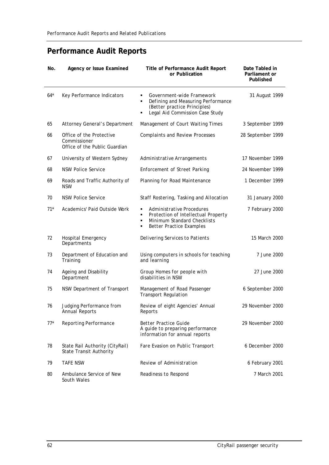## **Performance Audit Reports**

| No.   | <b>Agency or Issue Examined</b>                                           | <b>Title of Performance Audit Report</b><br>or Publication                                                                                        | Date Tabled in<br>Parliament or<br><b>Published</b> |
|-------|---------------------------------------------------------------------------|---------------------------------------------------------------------------------------------------------------------------------------------------|-----------------------------------------------------|
| $64*$ | Key Performance Indicators                                                | Government-wide Framework<br>٠<br>Defining and Measuring Performance<br>Ξ<br>(Better practice Principles)<br>Legal Aid Commission Case Study<br>٠ | 31 August 1999                                      |
| 65    | Attorney General's Department                                             | Management of Court Waiting Times                                                                                                                 | 3 September 1999                                    |
| 66    | Office of the Protective<br>Commissioner<br>Office of the Public Guardian | Complaints and Review Processes                                                                                                                   | 28 September 1999                                   |
| 67    | University of Western Sydney                                              | Administrative Arrangements                                                                                                                       | 17 November 1999                                    |
| 68    | <b>NSW Police Service</b>                                                 | <b>Enforcement of Street Parking</b>                                                                                                              | 24 November 1999                                    |
| 69    | Roads and Traffic Authority of<br><b>NSW</b>                              | Planning for Road Maintenance                                                                                                                     | 1 December 1999                                     |
| 70    | <b>NSW Police Service</b>                                                 | Staff Rostering, Tasking and Allocation                                                                                                           | 31 January 2000                                     |
| $71*$ | Academics' Paid Outside Work                                              | Administrative Procedures<br>٠<br>Protection of Intellectual Property<br>Minimum Standard Checklists<br>٠<br><b>Better Practice Examples</b><br>٠ | 7 February 2000                                     |
| 72    | Hospital Emergency<br>Departments                                         | Delivering Services to Patients                                                                                                                   | 15 March 2000                                       |
| 73    | Department of Education and<br>Training                                   | Using computers in schools for teaching<br>and learning                                                                                           | 7 June 2000                                         |
| 74    | Ageing and Disability<br>Department                                       | Group Homes for people with<br>disabilities in NSW                                                                                                | 27 June 2000                                        |
| 75    | NSW Department of Transport                                               | Management of Road Passenger<br><b>Transport Regulation</b>                                                                                       | 6 September 2000                                    |
| 76    | Judging Performance from<br>Annual Reports                                | Review of eight Agencies' Annual<br>Reports                                                                                                       | 29 November 2000                                    |
| $77*$ | Reporting Performance                                                     | <b>Better Practice Guide</b><br>A guide to preparing performance<br>information for annual reports                                                | 29 November 2000                                    |
| 78    | State Rail Authority (CityRail)<br>State Transit Authority                | Fare Evasion on Public Transport                                                                                                                  | 6 December 2000                                     |
| 79    | <b>TAFE NSW</b>                                                           | Review of Administration                                                                                                                          | 6 February 2001                                     |
| 80    | Ambulance Service of New<br>South Wales                                   | Readiness to Respond                                                                                                                              | 7 March 2001                                        |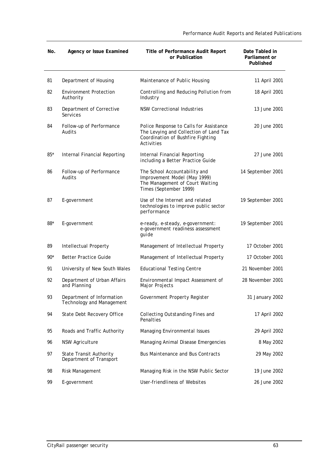*Performance Audit Reports and Related Publications*

| No.   | <b>Agency or Issue Examined</b>                        | <b>Title of Performance Audit Report</b><br>or Publication                                                                           | Date Tabled in<br>Parliament or<br><b>Published</b> |
|-------|--------------------------------------------------------|--------------------------------------------------------------------------------------------------------------------------------------|-----------------------------------------------------|
| 81    | Department of Housing                                  | Maintenance of Public Housing                                                                                                        | 11 April 2001                                       |
| 82    | <b>Environment Protection</b><br>Authority             | Controlling and Reducing Pollution from<br>Industry                                                                                  | 18 April 2001                                       |
| 83    | Department of Corrective<br>Services                   | <b>NSW Correctional Industries</b>                                                                                                   | 13 June 2001                                        |
| 84    | Follow-up of Performance<br>Audits                     | Police Response to Calls for Assistance<br>The Levying and Collection of Land Tax<br>Coordination of Bushfire Fighting<br>Activities | 20 June 2001                                        |
| $85*$ | Internal Financial Reporting                           | Internal Financial Reporting<br>including a Better Practice Guide                                                                    | 27 June 2001                                        |
| 86    | Follow-up of Performance<br>Audits                     | The School Accountability and<br>Improvement Model (May 1999)<br>The Management of Court Waiting<br>Times (September 1999)           | 14 September 2001                                   |
| 87    | E-government                                           | Use of the Internet and related<br>technologies to improve public sector<br>performance                                              | 19 September 2001                                   |
| 88*   | E-government                                           | e-ready, e-steady, e-government:<br>e-government readiness assessment<br>guide                                                       | 19 September 2001                                   |
| 89    | Intellectual Property                                  | Management of Intellectual Property                                                                                                  | 17 October 2001                                     |
| $90*$ | <b>Better Practice Guide</b>                           | Management of Intellectual Property                                                                                                  | 17 October 2001                                     |
| 91    | University of New South Wales                          | <b>Educational Testing Centre</b>                                                                                                    | 21 November 2001                                    |
| 92    | Department of Urban Affairs<br>and Planning            | Environmental Impact Assessment of<br>Major Projects                                                                                 | 28 November 2001                                    |
| 93    | Department of Information<br>Technology and Management | Government Property Register                                                                                                         | 31 January 2002                                     |
| 94    | State Debt Recovery Office                             | Collecting Outstanding Fines and<br>Penalties                                                                                        | 17 April 2002                                       |
| 95    | Roads and Traffic Authority                            | Managing Environmental Issues                                                                                                        | 29 April 2002                                       |
| 96    | <b>NSW Agriculture</b>                                 | Managing Animal Disease Emergencies                                                                                                  | 8 May 2002                                          |
| 97    | State Transit Authority<br>Department of Transport     | <b>Bus Maintenance and Bus Contracts</b>                                                                                             | 29 May 2002                                         |
| 98    | Risk Management                                        | Managing Risk in the NSW Public Sector                                                                                               | 19 June 2002                                        |
| 99    | E-government                                           | <b>User-friendliness of Websites</b>                                                                                                 | 26 June 2002                                        |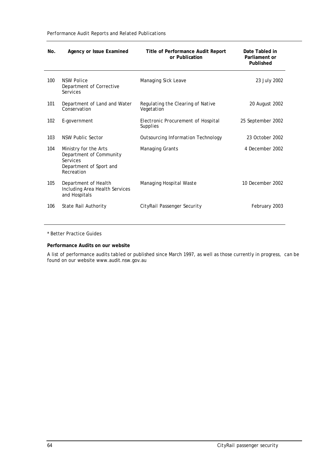*Performance Audit Reports and Related Publications*

| No. | <b>Agency or Issue Examined</b>                                                                       | <b>Title of Performance Audit Report</b><br>or Publication | Date Tabled in<br>Parliament or<br><b>Published</b> |
|-----|-------------------------------------------------------------------------------------------------------|------------------------------------------------------------|-----------------------------------------------------|
| 100 | <b>NSW Police</b><br>Department of Corrective<br>Services                                             | Managing Sick Leave                                        | 23 July 2002                                        |
| 101 | Department of Land and Water<br>Conservation                                                          | Regulating the Clearing of Native<br>Vegetation            | 20 August 2002                                      |
| 102 | E-government                                                                                          | Electronic Procurement of Hospital<br>Supplies             | 25 September 2002                                   |
| 103 | NSW Public Sector                                                                                     | <b>Outsourcing Information Technology</b>                  | 23 October 2002                                     |
| 104 | Ministry for the Arts<br>Department of Community<br>Services<br>Department of Sport and<br>Recreation | Managing Grants                                            | 4 December 2002                                     |
| 105 | Department of Health<br>Including Area Health Services<br>and Hospitals                               | Managing Hospital Waste                                    | 10 December 2002                                    |
| 106 | State Rail Authority                                                                                  | CityRail Passenger Security                                | February 2003                                       |

\* Better Practice Guides

#### **Performance Audits on our website**

A list of performance audits tabled or published since March 1997, as well as those currently in progress, can be found on our website www.audit.nsw.gov.au